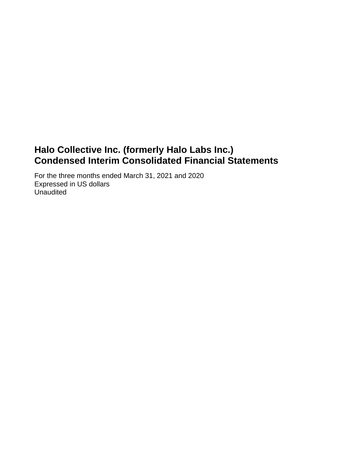# **Halo Collective Inc. (formerly Halo Labs Inc.) Condensed Interim Consolidated Financial Statements**

For the three months ended March 31, 2021 and 2020 Expressed in US dollars Unaudited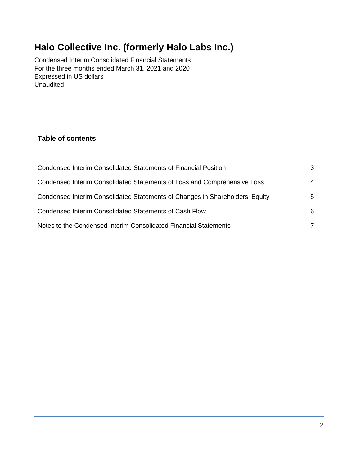# **Halo Collective Inc. (formerly Halo Labs Inc.)**

Condensed Interim Consolidated Financial Statements For the three months ended March 31, 2021 and 2020 Expressed in US dollars **Unaudited** 

## **Table of contents**

| <b>Condensed Interim Consolidated Statements of Financial Position</b>       | 3  |
|------------------------------------------------------------------------------|----|
| Condensed Interim Consolidated Statements of Loss and Comprehensive Loss     | 4  |
| Condensed Interim Consolidated Statements of Changes in Shareholders' Equity | 5  |
| Condensed Interim Consolidated Statements of Cash Flow                       | 6. |
| Notes to the Condensed Interim Consolidated Financial Statements             |    |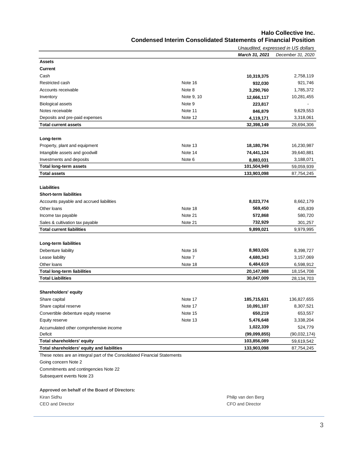#### **Halo Collective Inc. Condensed Interim Consolidated Statements of Financial Position**

| <u>Congensed internit Consolidated Statements of Financial Position</u> |  |  |
|-------------------------------------------------------------------------|--|--|
|                                                                         |  |  |

|                                                                           |            |                       | Unaudited, expressed in US dollars |
|---------------------------------------------------------------------------|------------|-----------------------|------------------------------------|
|                                                                           |            | <b>March 31, 2021</b> | December 31, 2020                  |
| <b>Assets</b>                                                             |            |                       |                                    |
| <b>Current</b>                                                            |            |                       |                                    |
| Cash                                                                      |            | 10,319,375            | 2,758,119                          |
| Restricted cash                                                           | Note 16    | 932,030               | 921,746                            |
| Accounts receivable                                                       | Note 8     | 3,290,760             | 1,785,372                          |
| Inventory                                                                 | Note 9, 10 | 12,666,117            | 10,281,455                         |
| <b>Biological assets</b>                                                  | Note 9     | 223,817               |                                    |
| Notes receivable                                                          | Note 11    | 846,879               | 9,629,553                          |
| Deposits and pre-paid expenses                                            | Note 12    | 4,119,171             | 3,318,061                          |
| <b>Total current assets</b>                                               |            | 32,398,149            | 28,694,306                         |
|                                                                           |            |                       |                                    |
| Long-term                                                                 |            |                       |                                    |
| Property, plant and equipment                                             | Note 13    | 18,180,794            | 16,230,987                         |
| Intangible assets and goodwill                                            | Note 14    | 74,441,124            | 39,640,881                         |
| Investments and deposits                                                  | Note 6     | 8,883,031             | 3,188,071                          |
| <b>Total long-term assets</b>                                             |            | 101,504,949           | 59,059,939                         |
| <b>Total assets</b>                                                       |            | 133,903,098           | 87,754,245                         |
|                                                                           |            |                       |                                    |
| Liabilities                                                               |            |                       |                                    |
| <b>Short-term liabilities</b>                                             |            |                       |                                    |
| Accounts payable and accrued liabilities                                  |            | 8,023,774             | 8,662,179                          |
| Other loans                                                               | Note 18    | 569,450               | 435,839                            |
| Income tax payable                                                        | Note 21    | 572,868               | 580,720                            |
| Sales & cultivation tax payable                                           | Note 21    | 732,929               | 301,257                            |
| <b>Total current liabilities</b>                                          |            | 9,899,021             | 9,979,995                          |
|                                                                           |            |                       |                                    |
| Long-term liabilities                                                     |            |                       |                                    |
| Debenture liability                                                       | Note 16    | 8,983,026             | 8,398,727                          |
| Lease liability                                                           | Note 7     | 4,680,343             | 3,157,069                          |
| Other loans                                                               | Note 18    | 6,484,619             | 6,598,912                          |
| <b>Total long-term liabilities</b>                                        |            | 20,147,988            | 18,154,708                         |
| <b>Total Liabilities</b>                                                  |            | 30,047,009            | 28,134,703                         |
|                                                                           |            |                       |                                    |
| Shareholders' equity                                                      |            |                       |                                    |
| Share capital                                                             | Note 17    | 185,715,631           | 136,827,655                        |
| Share capital reserve                                                     | Note 17    | 10,091,107            | 8,307,521                          |
| Convertible debenture equity reserve                                      | Note 15    | 650,219               | 653,557                            |
| Equity reserve                                                            | Note 13    | 5,476,648             | 3,338,204                          |
| Accumulated other comprehensive income                                    |            | 1,022,339             | 524,779                            |
| <b>Deficit</b>                                                            |            | (99,099,855)          | (90, 032, 174)                     |
| Total shareholders' equity                                                |            | 103,856,089           | 59,619,542                         |
| Total shareholders' equity and liabilities                                |            | 133,903,098           | 87,754,245                         |
| These notes are an integral part of the Consolidated Financial Statements |            |                       |                                    |
| Going concern Note 2                                                      |            |                       |                                    |
| Commitments and contingencies Note 22                                     |            |                       |                                    |
| Subsequent events Note 23                                                 |            |                       |                                    |
|                                                                           |            |                       |                                    |
| Approved on behalf of the Board of Directors:                             |            |                       |                                    |
| Kiran Sidhu                                                               |            | Philip van den Berg   |                                    |
|                                                                           |            |                       |                                    |

CEO and Director CFO and Director CFO and Director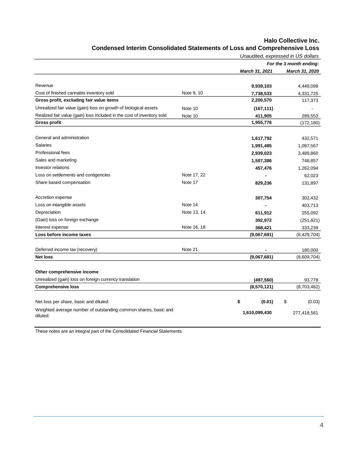|                                                                                   |                       | For the 3 month ending: |
|-----------------------------------------------------------------------------------|-----------------------|-------------------------|
|                                                                                   |                       |                         |
|                                                                                   | <b>March 31, 2021</b> | March 31, 2020          |
| Revenue                                                                           | 9,939,103             | 4,449,098               |
| Cost of finished cannabis inventory sold<br>Note 9, 10                            | 7,738,533             | 4,331,725               |
| Gross profit, excluding fair value items                                          | 2,200,570             | 117,373                 |
| Unrealized fair value (gain) loss on growth of biological assets<br>Note 10       | (167, 111)            | $\sim$                  |
| Realized fair value (gain) loss included in the cost of inventory sold<br>Note 10 | 411,905               | 289,553                 |
| <b>Gross profit</b>                                                               | 1,955,776             | (172, 180)              |
| General and administration                                                        | 1,617,792             | 432,571                 |
| Salaries                                                                          | 1,991,485             | 1,087,567               |
| Professional fees                                                                 | 2,939,023             | 3,489,860               |
| Sales and marketing                                                               | 1,507,386             | 748,857                 |
| Investor relations                                                                | 457,476               | 1,262,094               |
| Note 17, 22<br>Loss on settlements and contigencies                               |                       | 62,023                  |
| Share based compensation<br>Note 17                                               | 829,236               | 131,897                 |
| Accretion expense                                                                 | 307,754               | 302,432                 |
| Loss on intangible assets<br>Note 14                                              |                       | 403,713                 |
| Note 13, 14<br>Depreciation                                                       | 611,912               | 255,092                 |
| (Gain) loss on foreign exchange                                                   | 392,972               | (251, 821)              |
| Note 16, 18<br>Interest expense                                                   | 368,421               | 333,239                 |
| Loss before income taxes                                                          | (9,067,681)           | (8,429,704)             |
| Note 21<br>Deferred income tax (recovery)                                         |                       | 180,000                 |
| <b>Net loss</b>                                                                   | (9,067,681)           | (8,609,704)             |
| Other comprehensive income                                                        |                       |                         |
| Unrealized (gain) loss on foreign currency translation                            | (497, 560)            | 93,778                  |
| <b>Comprehensive loss</b>                                                         | (8,570,121)           | (8,703,482)             |
| Net loss per share, basic and diluted:                                            | \$<br>(0.01)          | \$<br>(0.03)            |
| Weighted average number of outstanding common shares, basic and<br>diluted:       | 1,610,099,430         | 277,418,561             |

## **Halo Collective Inc. Condensed Interim Consolidated Statements of Loss and Comprehensive Loss**

These notes are an integral part of the Consolidated Financial Statements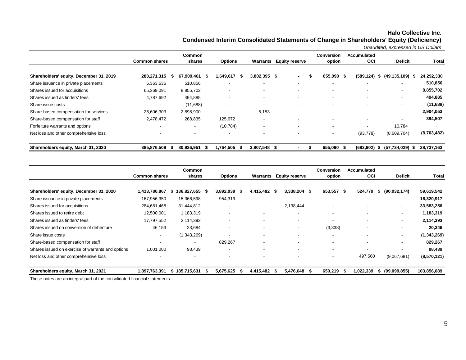## **Halo Collective Inc.**

**Condensed Interim Consolidated Statements of Change in Shareholders' Equity (Deficiency)**

*Unaudited, expressed in US Dollars*

|                                         |                          | <b>Common</b>            |                          |                          |                                | <b>Conversion</b>        | Accumulated        |                          |              |
|-----------------------------------------|--------------------------|--------------------------|--------------------------|--------------------------|--------------------------------|--------------------------|--------------------|--------------------------|--------------|
|                                         | <b>Common shares</b>     | shares                   | <b>Options</b>           |                          | <b>Warrants</b> Equity reserve | option                   | <b>OCI</b>         | <b>Deficit</b>           | <b>Total</b> |
| Shareholders' equity, December 31, 2019 | 280,271,315              | 67,909,461 \$<br>ъ       | 1,649,617<br>- \$        | 3,802,395 \$             | $\sim$<br>- 55                 | 655,090 \$               | (589, 124)<br>- \$ | (49,135,109)<br>\$       | 24,292,330   |
| Share issuance in private placements    | 6,363,636                | 510,856                  | $\overline{\phantom{a}}$ | $\overline{\phantom{a}}$ | $\overline{\phantom{a}}$       | $\overline{\phantom{a}}$ |                    |                          | 510,856      |
| Shares issued for acquisitions          | 65,369,091               | 8,855,702                | $\overline{\phantom{a}}$ | $\overline{\phantom{a}}$ |                                | $\overline{\phantom{a}}$ |                    | $\overline{\phantom{a}}$ | 8,855,702    |
| Shares issued as finders' fees          | 4,787,692                | 494,885                  | $\overline{\phantom{0}}$ | $\overline{\phantom{a}}$ | $\overline{\phantom{a}}$       | $\overline{\phantom{a}}$ |                    | $\overline{\phantom{a}}$ | 494,885      |
| Share issue costs                       | $\overline{\phantom{0}}$ | (11,688)                 | $\overline{\phantom{a}}$ | $\overline{\phantom{a}}$ |                                | $\overline{\phantom{0}}$ |                    |                          | (11,688)     |
| Share-based compensation for services   | 26,606,303               | 2,898,900                | $\overline{\phantom{0}}$ | 5,153                    | $\overline{\phantom{a}}$       | $\overline{\phantom{a}}$ |                    |                          | 2,904,053    |
| Share-based compensation for staff      | 2,478,472                | 268,835                  | 125,672                  | $\overline{\phantom{a}}$ |                                | $\overline{\phantom{a}}$ |                    | $\overline{\phantom{a}}$ | 394,507      |
| Forfeiture warrants and options         |                          | ٠                        | (10, 784)                | $\overline{\phantom{a}}$ |                                | $\overline{\phantom{a}}$ |                    | 10,784                   |              |
| Net loss and other comprehensive loss   |                          | $\overline{\phantom{a}}$ | $\overline{\phantom{a}}$ | $\overline{\phantom{a}}$ |                                | $\overline{\phantom{0}}$ | (93, 778)          | (8,609,704)              | (8,703,482)  |
| Shareholders equity, March 31, 2020     | 385,876,509              | 80,926,951 \$            | 1,764,505<br>- 56        | 3,807,548 \$             |                                | 655,090 \$               | $(682,902)$ \$     | $(57, 734, 029)$ \$      | 28,737,163   |

|                                                   |                          | Common              |                          |      |                          |      |                          | <b>Conversion</b>        | Accumulated |                          |              |
|---------------------------------------------------|--------------------------|---------------------|--------------------------|------|--------------------------|------|--------------------------|--------------------------|-------------|--------------------------|--------------|
|                                                   | <b>Common shares</b>     | shares              | <b>Options</b>           |      | Warrants                 |      | <b>Equity reserve</b>    | option                   | OCI         | <b>Deficit</b>           | <b>Total</b> |
| Shareholders' equity, December 31, 2020           | 1,413,780,867            | 136,827,655 \$<br>S | 3,892,039                | - 56 | 4,415,482                | - 56 | $3,338,204$ \$           | 653,557 \$               | 524,779     | (90,032,174)<br>æ.       | 59,619,542   |
| Share issuance in private placements              | 167,956,350              | 15,366,598          | 954,319                  |      |                          |      | -                        | $\overline{\phantom{a}}$ |             | $\overline{\phantom{a}}$ | 16,320,917   |
| Shares issued for acquisitions                    | 284,681,468              | 31,444,812          |                          |      |                          |      | 2,138,444                | $\overline{\phantom{a}}$ |             | $\overline{\phantom{a}}$ | 33,583,256   |
| Shares issued to retire debt                      | 12,500,001               | 1,183,319           | $\overline{\phantom{a}}$ |      |                          |      | $\overline{\phantom{a}}$ | $\overline{\phantom{a}}$ |             | $\overline{\phantom{0}}$ | 1,183,319    |
| Shares issued as finders' fees                    | 17,797,552               | 2,114,393           |                          |      |                          |      | -                        |                          |             |                          | 2,114,393    |
| Shares issued on conversion of debenture          | 46,153                   | 23,684              | $\overline{\phantom{a}}$ |      |                          |      | $\overline{\phantom{a}}$ | (3,338)                  |             |                          | 20,346       |
| Share issue costs                                 | $\overline{\phantom{a}}$ | (1,343,269)         |                          |      |                          |      | -                        | $\overline{\phantom{a}}$ |             | $\overline{\phantom{0}}$ | (1,343,269)  |
| Share-based compensation for staff                | $\overline{\phantom{0}}$ |                     | 829,267                  |      |                          |      | ٠                        | ٠                        |             |                          | 829,267      |
| Shares issued on exercise of warrants and options | 1,001,000                | 98,439              | $\overline{\phantom{a}}$ |      | $\overline{\phantom{a}}$ |      | $\overline{\phantom{a}}$ | $\overline{\phantom{a}}$ | -           |                          | 98,439       |
| Net loss and other comprehensive loss             |                          |                     |                          |      |                          |      | -                        | $\overline{\phantom{a}}$ | 497,560     | (9,067,681)              | (8,570,121)  |
| Shareholders equity, March 31, 2021               | 1,897,763,391            | 185,715,631<br>55.  | 5,675,625                |      | 4,415,482                |      | 5,476,648 \$             | 650,219                  | 1,022,339   | (99,099,855)             | 103,856,089  |

These notes are an integral part of the consolidated financial statements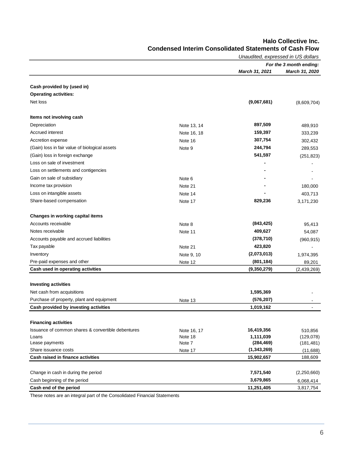|                                                    |             | Unaudited, expressed in US dollars |                         |
|----------------------------------------------------|-------------|------------------------------------|-------------------------|
|                                                    |             |                                    | For the 3 month ending: |
|                                                    |             | March 31, 2021                     | March 31, 2020          |
|                                                    |             |                                    |                         |
| Cash provided by (used in)                         |             |                                    |                         |
| <b>Operating activities:</b>                       |             |                                    |                         |
| Net loss                                           |             | (9,067,681)                        | (8,609,704)             |
| Items not involving cash                           |             |                                    |                         |
| Depreciation                                       | Note 13, 14 | 897,509                            | 489,910                 |
| Accrued interest                                   | Note 16, 18 | 159,397                            | 333,239                 |
| Accretion expense                                  | Note 16     | 307,754                            | 302,432                 |
| (Gain) loss in fair value of biological assets     | Note 9      | 244,794                            | 289,553                 |
| (Gain) loss in foreign exchange                    |             | 541,597                            | (251, 823)              |
| Loss on sale of investment                         |             |                                    |                         |
| Loss on settlements and contigencies               |             |                                    |                         |
| Gain on sale of subsidiary                         | Note 6      |                                    |                         |
| Income tax provision                               | Note 21     |                                    | 180,000                 |
| Loss on intangible assets                          | Note 14     |                                    | 403,713                 |
| Share-based compensation                           | Note 17     | 829,236                            | 3,171,230               |
| Changes in working capital items                   |             |                                    |                         |
| Accounts receivable                                | Note 8      | (843, 425)                         | 95,413                  |
| Notes receivable                                   | Note 11     | 409,627                            |                         |
| Accounts payable and accrued liabilities           |             | (378, 710)                         | 54,087                  |
| Tax payable                                        | Note 21     | 423,820                            | (960, 915)              |
| Inventory                                          |             | (2,073,013)                        |                         |
|                                                    | Note 9, 10  |                                    | 1,974,395               |
| Pre-paid expenses and other                        | Note 12     | (801, 184)                         | 89,201                  |
| Cash used in operating activities                  |             | (9,350,279)                        | (2,439,269)             |
| <b>Investing activities</b>                        |             |                                    |                         |
| Net cash from acquisitions                         |             | 1,595,369                          |                         |
| Purchase of property, plant and equipment          | Note 13     | (576, 207)                         |                         |
| Cash provided by investing activities              |             | 1,019,162                          |                         |
| <b>Financing activities</b>                        |             |                                    |                         |
| Issuance of common shares & convertible debentures | Note 16, 17 | 16,419,356                         | 510,856                 |
| Loans                                              | Note 18     | 1,111,039                          | (129,078)               |
| Lease payments                                     | Note 7      | (284, 469)                         | (181, 481)              |
| Share issuance costs                               | Note 17     | (1, 343, 269)                      | (11,688)                |
| Cash raised in finance activities                  |             | 15,902,657                         | 188,609                 |
| Change in cash in during the period                |             | 7,571,540                          | (2,250,660)             |
| Cash beginning of the period                       |             | 3,679,865                          |                         |
|                                                    |             |                                    | 6,068,414               |
| Cash end of the period                             |             | 11,251,405                         | 3,817,754               |

## **Halo Collective Inc. Condensed Interim Consolidated Statements of Cash Flow**

These notes are an integral part of the Consolidated Financial Statements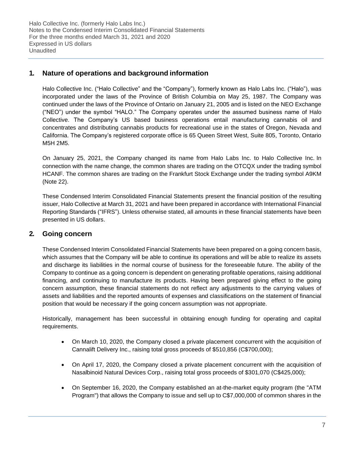Halo Collective Inc. (formerly Halo Labs Inc.) Notes to the Condensed Interim Consolidated Financial Statements For the three months ended March 31, 2021 and 2020 Expressed in US dollars Unaudited

## **1. Nature of operations and background information**

Halo Collective Inc. ("Halo Collective" and the "Company"), formerly known as Halo Labs Inc. ("Halo"), was incorporated under the laws of the Province of British Columbia on May 25, 1987. The Company was continued under the laws of the Province of Ontario on January 21, 2005 and is listed on the NEO Exchange ("NEO") under the symbol "HALO." The Company operates under the assumed business name of Halo Collective. The Company's US based business operations entail manufacturing cannabis oil and concentrates and distributing cannabis products for recreational use in the states of Oregon, Nevada and California. The Company's registered corporate office is 65 Queen Street West, Suite 805, Toronto, Ontario M5H 2M5.

On January 25, 2021, the Company changed its name from Halo Labs Inc. to Halo Collective Inc. In connection with the name change, the common shares are trading on the OTCQX under the trading symbol HCANF. The common shares are trading on the Frankfurt Stock Exchange under the trading symbol A9KM (Note 22).

These Condensed Interim Consolidated Financial Statements present the financial position of the resulting issuer, Halo Collective at March 31, 2021 and have been prepared in accordance with International Financial Reporting Standards ("IFRS"). Unless otherwise stated, all amounts in these financial statements have been presented in US dollars.

## **2. Going concern**

These Condensed Interim Consolidated Financial Statements have been prepared on a going concern basis, which assumes that the Company will be able to continue its operations and will be able to realize its assets and discharge its liabilities in the normal course of business for the foreseeable future. The ability of the Company to continue as a going concern is dependent on generating profitable operations, raising additional financing, and continuing to manufacture its products. Having been prepared giving effect to the going concern assumption, these financial statements do not reflect any adjustments to the carrying values of assets and liabilities and the reported amounts of expenses and classifications on the statement of financial position that would be necessary if the going concern assumption was not appropriate.

Historically, management has been successful in obtaining enough funding for operating and capital requirements.

- On March 10, 2020, the Company closed a private placement concurrent with the acquisition of Cannalift Delivery Inc., raising total gross proceeds of \$510,856 (C\$700,000);
- On April 17, 2020, the Company closed a private placement concurrent with the acquisition of Nasalbinoid Natural Devices Corp., raising total gross proceeds of \$301,070 (C\$425,000);
- On September 16, 2020, the Company established an at-the-market equity program (the "ATM Program") that allows the Company to issue and sell up to C\$7,000,000 of common shares in the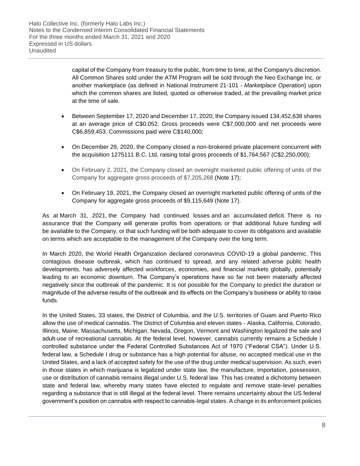capital of the Company from treasury to the public, from time to time, at the Company's discretion. All Common Shares sold under the ATM Program will be sold through the Neo Exchange Inc. or another marketplace (as defined in National Instrument 21-101 - *Marketplace Operation*) upon which the common shares are listed, quoted or otherwise traded, at the prevailing market price at the time of sale.

- Between September 17, 2020 and December 17, 2020, the Company issued 134,452,638 shares at an average price of C\$0.052. Gross proceeds were C\$7,000,000 and net proceeds were C\$6,859,453. Commissions paid were C\$140,000;
- On December 29, 2020, the Company closed a non-brokered private placement concurrent with the acquisition 1275111 B.C. Ltd, raising total gross proceeds of \$1,764,567 (C\$2,250,000);
- On February 2, 2021, the Company closed an overnight marketed public offering of units of the Company for aggregate gross proceeds of \$7,205,268 (Note 17);
- On February 19, 2021, the Company closed an overnight marketed public offering of units of the Company for aggregate gross proceeds of \$9,115,649 (Note 17).

As at March 31, 2021, the Company had continued losses and an accumulated deficit. There is no assurance that the Company will generate profits from operations or that additional future funding will be available to the Company, or that such funding will be both adequate to cover its obligations and available on terms which are acceptable to the management of the Company over the long term.

In March 2020, the World Health Organization declared coronavirus COVID-19 a global pandemic. This contagious disease outbreak, which has continued to spread, and any related adverse public health developments, has adversely affected workforces, economies, and financial markets globally, potentially leading to an economic downturn. The Company's operations have so far not been materially affected negatively since the outbreak of the pandemic. It is not possible for the Company to predict the duration or magnitude of the adverse results of the outbreak and its effects on the Company's business or ability to raise funds.

In the United States, 33 states, the District of Columbia, and the U.S. territories of Guam and Puerto Rico allow the use of medical cannabis. The District of Columbia and eleven states - Alaska, California, Colorado, Illinois, Maine, Massachusetts, Michigan, Nevada, Oregon, Vermont and Washington legalized the sale and adult-use of recreational cannabis. At the federal level, however, cannabis currently remains a Schedule I controlled substance under the Federal Controlled Substances Act of 1970 ("Federal CSA"). Under U.S. federal law, a Schedule I drug or substance has a high potential for abuse, no accepted medical use in the United States, and a lack of accepted safety for the use of the drug under medical supervision. As such, even in those states in which marijuana is legalized under state law, the manufacture, importation, possession, use or distribution of cannabis remains illegal under U.S. federal law. This has created a dichotomy between state and federal law, whereby many states have elected to regulate and remove state-level penalties regarding a substance that is still illegal at the federal level. There remains uncertainty about the US federal government's position on cannabis with respect to cannabis-legal states. A change in its enforcement policies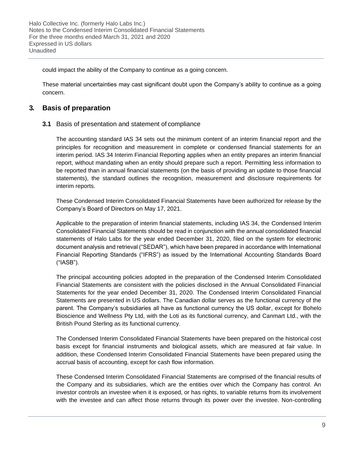could impact the ability of the Company to continue as a going concern.

These material uncertainties may cast significant doubt upon the Company's ability to continue as a going concern.

## **3. Basis of preparation**

## **3.1** Basis of presentation and statement of compliance

The accounting standard IAS 34 sets out the minimum content of an interim financial report and the principles for recognition and measurement in complete or condensed financial statements for an interim period. IAS 34 Interim Financial Reporting applies when an entity prepares an interim financial report, without mandating when an entity should prepare such a report. Permitting less information to be reported than in annual financial statements (on the basis of providing an update to those financial statements), the standard outlines the recognition, measurement and disclosure requirements for interim reports.

These Condensed Interim Consolidated Financial Statements have been authorized for release by the Company's Board of Directors on May 17, 2021.

Applicable to the preparation of interim financial statements, including IAS 34, the Condensed Interim Consolidated Financial Statements should be read in conjunction with the annual consolidated financial statements of Halo Labs for the year ended December 31, 2020, filed on the system for electronic document analysis and retrieval ("SEDAR"), which have been prepared in accordance with International Financial Reporting Standards ("IFRS") as issued by the International Accounting Standards Board ("IASB").

The principal accounting policies adopted in the preparation of the Condensed Interim Consolidated Financial Statements are consistent with the policies disclosed in the Annual Consolidated Financial Statements for the year ended December 31, 2020. The Condensed Interim Consolidated Financial Statements are presented in US dollars. The Canadian dollar serves as the functional currency of the parent. The Company's subsidiaries all have as functional currency the US dollar, except for Bohelo Bioscience and Wellness Pty Ltd, with the Loti as its functional currency, and Canmart Ltd., with the British Pound Sterling as its functional currency.

The Condensed Interim Consolidated Financial Statements have been prepared on the historical cost basis except for financial instruments and biological assets, which are measured at fair value. In addition, these Condensed Interim Consolidated Financial Statements have been prepared using the accrual basis of accounting, except for cash flow information.

These Condensed Interim Consolidated Financial Statements are comprised of the financial results of the Company and its subsidiaries, which are the entities over which the Company has control. An investor controls an investee when it is exposed, or has rights, to variable returns from its involvement with the investee and can affect those returns through its power over the investee. Non-controlling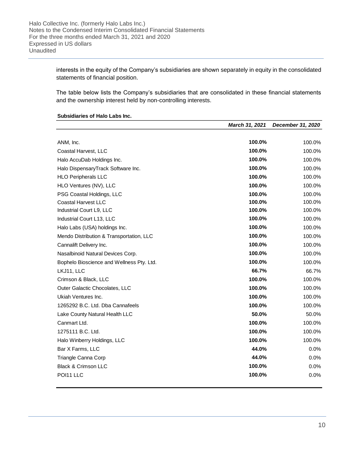interests in the equity of the Company's subsidiaries are shown separately in equity in the consolidated statements of financial position.

The table below lists the Company's subsidiaries that are consolidated in these financial statements and the ownership interest held by non-controlling interests.

#### **Subsidiaries of Halo Labs Inc.**

|                                           | March 31, 2021 | December 31, 2020 |
|-------------------------------------------|----------------|-------------------|
|                                           |                |                   |
| ANM, Inc.                                 | 100.0%         | 100.0%            |
| Coastal Harvest, LLC                      | 100.0%         | 100.0%            |
| Halo AccuDab Holdings Inc.                | 100.0%         | 100.0%            |
| Halo DispensaryTrack Software Inc.        | 100.0%         | 100.0%            |
| <b>HLO Peripherals LLC</b>                | 100.0%         | 100.0%            |
| HLO Ventures (NV), LLC                    | 100.0%         | 100.0%            |
| PSG Coastal Holdings, LLC                 | 100.0%         | 100.0%            |
| <b>Coastal Harvest LLC</b>                | 100.0%         | 100.0%            |
| Industrial Court L9, LLC                  | 100.0%         | 100.0%            |
| Industrial Court L13, LLC                 | 100.0%         | 100.0%            |
| Halo Labs (USA) holdings Inc.             | 100.0%         | 100.0%            |
| Mendo Distribution & Transportation, LLC  | 100.0%         | 100.0%            |
| Cannalift Delivery Inc.                   | 100.0%         | 100.0%            |
| Nasalbinoid Natural Devices Corp.         | 100.0%         | 100.0%            |
| Bophelo Bioscience and Wellness Pty. Ltd. | 100.0%         | 100.0%            |
| LKJ11, LLC                                | 66.7%          | 66.7%             |
| Crimson & Black, LLC                      | 100.0%         | 100.0%            |
| Outer Galactic Chocolates, LLC            | 100.0%         | 100.0%            |
| Ukiah Ventures Inc.                       | 100.0%         | 100.0%            |
| 1265292 B.C. Ltd. Dba Cannafeels          | 100.0%         | 100.0%            |
| Lake County Natural Health LLC            | 50.0%          | 50.0%             |
| Canmart Ltd.                              | 100.0%         | 100.0%            |
| 1275111 B.C. Ltd.                         | 100.0%         | 100.0%            |
| Halo Winberry Holdings, LLC               | 100.0%         | 100.0%            |
| Bar X Farms, LLC                          | 44.0%          | 0.0%              |
| Triangle Canna Corp                       | 44.0%          | 0.0%              |
| Black & Crimson LLC                       | 100.0%         | 0.0%              |
| POI11 LLC                                 | 100.0%         | 0.0%              |
|                                           |                |                   |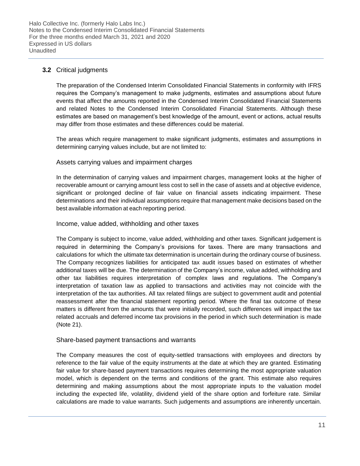## **3.2** Critical judgments

The preparation of the Condensed Interim Consolidated Financial Statements in conformity with IFRS requires the Company's management to make judgments, estimates and assumptions about future events that affect the amounts reported in the Condensed Interim Consolidated Financial Statements and related Notes to the Condensed Interim Consolidated Financial Statements. Although these estimates are based on management's best knowledge of the amount, event or actions, actual results may differ from those estimates and these differences could be material.

The areas which require management to make significant judgments, estimates and assumptions in determining carrying values include, but are not limited to:

## Assets carrying values and impairment charges

In the determination of carrying values and impairment charges, management looks at the higher of recoverable amount or carrying amount less cost to sell in the case of assets and at objective evidence, significant or prolonged decline of fair value on financial assets indicating impairment. These determinations and their individual assumptions require that management make decisions based on the best available information at each reporting period.

### Income, value added, withholding and other taxes

The Company is subject to income, value added, withholding and other taxes. Significant judgement is required in determining the Company's provisions for taxes. There are many transactions and calculations for which the ultimate tax determination is uncertain during the ordinary course of business. The Company recognizes liabilities for anticipated tax audit issues based on estimates of whether additional taxes will be due. The determination of the Company's income, value added, withholding and other tax liabilities requires interpretation of complex laws and regulations. The Company's interpretation of taxation law as applied to transactions and activities may not coincide with the interpretation of the tax authorities. All tax related filings are subject to government audit and potential reassessment after the financial statement reporting period. Where the final tax outcome of these matters is different from the amounts that were initially recorded, such differences will impact the tax related accruals and deferred income tax provisions in the period in which such determination is made (Note 21).

### Share-based payment transactions and warrants

The Company measures the cost of equity-settled transactions with employees and directors by reference to the fair value of the equity instruments at the date at which they are granted. Estimating fair value for share-based payment transactions requires determining the most appropriate valuation model, which is dependent on the terms and conditions of the grant. This estimate also requires determining and making assumptions about the most appropriate inputs to the valuation model including the expected life, volatility, dividend yield of the share option and forfeiture rate. Similar calculations are made to value warrants. Such judgements and assumptions are inherently uncertain.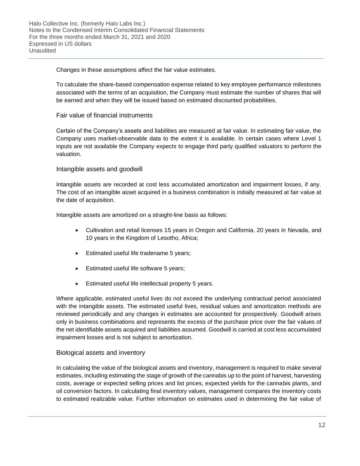Changes in these assumptions affect the fair value estimates.

To calculate the share-based compensation expense related to key employee performance milestones associated with the terms of an acquisition, the Company must estimate the number of shares that will be earned and when they will be issued based on estimated discounted probabilities.

## Fair value of financial instruments

Certain of the Company's assets and liabilities are measured at fair value. In estimating fair value, the Company uses market-observable data to the extent it is available. In certain cases where Level 1 inputs are not available the Company expects to engage third party qualified valuators to perform the valuation.

## Intangible assets and goodwill

Intangible assets are recorded at cost less accumulated amortization and impairment losses, if any. The cost of an intangible asset acquired in a business combination is initially measured at fair value at the date of acquisition.

Intangible assets are amortized on a straight-line basis as follows:

- Cultivation and retail licenses 15 years in Oregon and California, 20 years in Nevada, and 10 years in the Kingdom of Lesotho, Africa;
- Estimated useful life tradename 5 years;
- Estimated useful life software 5 years;
- Estimated useful life intellectual property 5 years.

Where applicable, estimated useful lives do not exceed the underlying contractual period associated with the intangible assets. The estimated useful lives, residual values and amortization methods are reviewed periodically and any changes in estimates are accounted for prospectively. Goodwill arises only in business combinations and represents the excess of the purchase price over the fair values of the net identifiable assets acquired and liabilities assumed. Goodwill is carried at cost less accumulated impairment losses and is not subject to amortization.

### Biological assets and inventory

In calculating the value of the biological assets and inventory, management is required to make several estimates, including estimating the stage of growth of the cannabis up to the point of harvest, harvesting costs, average or expected selling prices and list prices, expected yields for the cannabis plants, and oil conversion factors. In calculating final inventory values, management compares the inventory costs to estimated realizable value. Further information on estimates used in determining the fair value of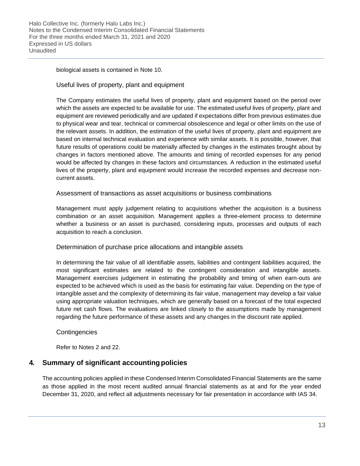biological assets is contained in Note 10.

## Useful lives of property, plant and equipment

The Company estimates the useful lives of property, plant and equipment based on the period over which the assets are expected to be available for use. The estimated useful lives of property, plant and equipment are reviewed periodically and are updated if expectations differ from previous estimates due to physical wear and tear, technical or commercial obsolescence and legal or other limits on the use of the relevant assets. In addition, the estimation of the useful lives of property, plant and equipment are based on internal technical evaluation and experience with similar assets. It is possible, however, that future results of operations could be materially affected by changes in the estimates brought about by changes in factors mentioned above. The amounts and timing of recorded expenses for any period would be affected by changes in these factors and circumstances. A reduction in the estimated useful lives of the property, plant and equipment would increase the recorded expenses and decrease noncurrent assets.

Assessment of transactions as asset acquisitions or business combinations

Management must apply judgement relating to acquisitions whether the acquisition is a business combination or an asset acquisition. Management applies a three-element process to determine whether a business or an asset is purchased, considering inputs, processes and outputs of each acquisition to reach a conclusion.

### Determination of purchase price allocations and intangible assets

In determining the fair value of all identifiable assets, liabilities and contingent liabilities acquired, the most significant estimates are related to the contingent consideration and intangible assets. Management exercises judgement in estimating the probability and timing of when earn-outs are expected to be achieved which is used as the basis for estimating fair value. Depending on the type of intangible asset and the complexity of determining its fair value, management may develop a fair value using appropriate valuation techniques, which are generally based on a forecast of the total expected future net cash flows. The evaluations are linked closely to the assumptions made by management regarding the future performance of these assets and any changes in the discount rate applied.

#### Contingencies

Refer to Notes 2 and 22.

## **4. Summary of significant accountingpolicies**

The accounting policies applied in these Condensed Interim Consolidated Financial Statements are the same as those applied in the most recent audited annual financial statements as at and for the year ended December 31, 2020, and reflect all adjustments necessary for fair presentation in accordance with IAS 34.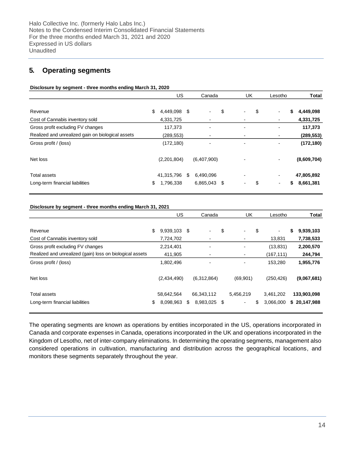## **5. Operating segments**

#### **Disclosure by segment - three months ending March 31, 2020**

|                                                   | US              |     | Canada                       | UK             | Lesotho                              | <b>Total</b> |
|---------------------------------------------------|-----------------|-----|------------------------------|----------------|--------------------------------------|--------------|
| Revenue                                           | \$<br>4,449,098 | -\$ | ۰                            | \$<br>Ξ.       | \$<br>\$<br>$\blacksquare$           | 4,449,098    |
| Cost of Cannabis inventory sold                   | 4,331,725       |     | ۰                            |                | $\qquad \qquad \blacksquare$         | 4,331,725    |
| Gross profit excluding FV changes                 | 117,373         |     | $\qquad \qquad \blacksquare$ | ۰              | $\qquad \qquad \blacksquare$         | 117,373      |
| Realized and unrealized gain on biological assets | (289, 553)      |     | -                            |                | $\blacksquare$                       | (289, 553)   |
| Gross profit / (loss)                             | (172, 180)      |     | $\qquad \qquad \blacksquare$ | ۰              | $\qquad \qquad \blacksquare$         | (172, 180)   |
| Net loss                                          | (2,201,804)     |     | (6,407,900)                  |                | $\qquad \qquad \blacksquare$         | (8,609,704)  |
| <b>Total assets</b>                               | 41,315,796      | \$  | 6.490.096                    |                | $\qquad \qquad \blacksquare$         | 47,805,892   |
| Long-term financial liabilities                   | \$<br>1,796,338 |     | 6,865,043 \$                 | $\blacksquare$ | \$<br>S.<br>$\overline{\phantom{a}}$ | 8,661,381    |

#### **Disclosure by segment - three months ending March 31, 2021**

|                                                          | US                 |    | Canada         | UK                             |     | Lesotho    | <b>Total</b>    |
|----------------------------------------------------------|--------------------|----|----------------|--------------------------------|-----|------------|-----------------|
| Revenue                                                  | \$<br>9,939,103 \$ |    | ۰.             | \$<br>$\overline{\phantom{a}}$ | \$  | $\sim$     | \$<br>9,939,103 |
| Cost of Cannabis inventory sold                          | 7,724,702          |    | $\blacksquare$ | $\overline{\phantom{a}}$       |     | 13,831     | 7,738,533       |
| Gross profit excluding FV changes                        | 2,214,401          |    | $\blacksquare$ | $\overline{\phantom{a}}$       |     | (13, 831)  | 2,200,570       |
| Realized and unrealized (gain) loss on biological assets | 411,905            |    | ۰              | $\overline{\phantom{a}}$       |     | (167, 111) | 244,794         |
| Gross profit / (loss)                                    | 1,802,496          |    | $\blacksquare$ | $\overline{\phantom{a}}$       |     | 153,280    | 1,955,776       |
| Net loss                                                 | (2,434,490)        |    | (6,312,864)    | (69, 901)                      |     | (250, 426) | (9,067,681)     |
| Total assets                                             | 58,642,564         |    | 66,343,112     | 5,456,219                      |     | 3,461,202  | 133,903,098     |
| Long-term financial liabilities                          | \$<br>8,098,963    | S. | 8,983,025 \$   | $\sim$                         | \$. | 3,066,000  | \$20,147,988    |
|                                                          |                    |    |                |                                |     |            |                 |

The operating segments are known as operations by entities incorporated in the US, operations incorporated in Canada and corporate expenses in Canada, operations incorporated in the UK and operations incorporated in the Kingdom of Lesotho, net of inter-company eliminations. In determining the operating segments, management also considered operations in cultivation, manufacturing and distribution across the geographical locations, and monitors these segments separately throughout the year.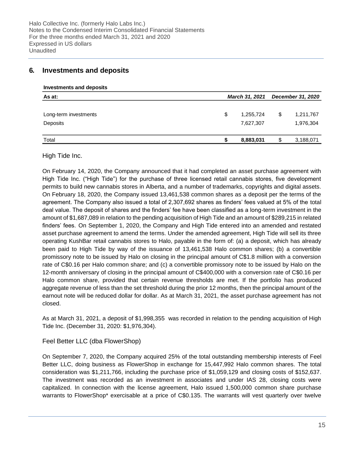## **6. Investments and deposits**

**Investments and deposits**

| As at:                |    | <b>March 31, 2021</b> |     | <b>December 31, 2020</b> |
|-----------------------|----|-----------------------|-----|--------------------------|
| Long-term investments | \$ | 1,255,724             | \$  | 1,211,767                |
| Deposits              |    | 7,627,307             |     | 1,976,304                |
| Total                 | S  | 8,883,031             | \$. | 3,188,071                |

High Tide Inc.

On February 14, 2020, the Company announced that it had completed an asset purchase agreement with High Tide Inc. ("High Tide") for the purchase of three licensed retail cannabis stores, five development permits to build new cannabis stores in Alberta, and a number of trademarks, copyrights and digital assets. On February 18, 2020, the Company issued 13,461,538 common shares as a deposit per the terms of the agreement. The Company also issued a total of 2,307,692 shares as finders' fees valued at 5% of the total deal value. The deposit of shares and the finders' fee have been classified as a long-term investment in the amount of \$1,687,089 in relation to the pending acquisition of High Tide and an amount of \$289,215 in related finders' fees. On September 1, 2020, the Company and High Tide entered into an amended and restated asset purchase agreement to amend the terms. Under the amended agreement, High Tide will sell its three operating KushBar retail cannabis stores to Halo, payable in the form of: (a) a deposit, which has already been paid to High Tide by way of the issuance of 13,461,538 Halo common shares; (b) a convertible promissory note to be issued by Halo on closing in the principal amount of C\$1.8 million with a conversion rate of C\$0.16 per Halo common share; and (c) a convertible promissory note to be issued by Halo on the 12-month anniversary of closing in the principal amount of C\$400,000 with a conversion rate of C\$0.16 per Halo common share, provided that certain revenue thresholds are met. If the portfolio has produced aggregate revenue of less than the set threshold during the prior 12 months, then the principal amount of the earnout note will be reduced dollar for dollar. As at March 31, 2021, the asset purchase agreement has not closed.

As at March 31, 2021, a deposit of \$1,998,355 was recorded in relation to the pending acquisition of High Tide Inc. (December 31, 2020: \$1,976,304).

### Feel Better LLC (dba FlowerShop)

On September 7, 2020, the Company acquired 25% of the total outstanding membership interests of Feel Better LLC, doing business as FlowerShop in exchange for 15,447,992 Halo common shares. The total consideration was \$1,211,766, including the purchase price of \$1,059,129 and closing costs of \$152,637. The investment was recorded as an investment in associates and under IAS 28, closing costs were capitalized. In connection with the license agreement, Halo issued 1,500,000 common share purchase warrants to FlowerShop\* exercisable at a price of C\$0.135. The warrants will vest quarterly over twelve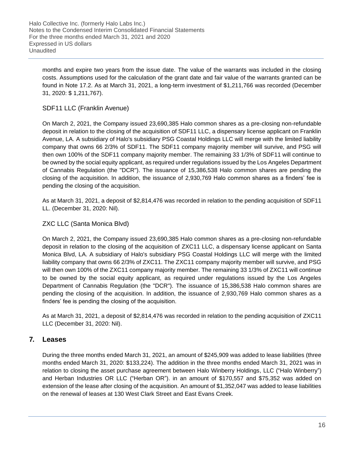months and expire two years from the issue date. The value of the warrants was included in the closing costs. Assumptions used for the calculation of the grant date and fair value of the warrants granted can be found in Note 17.2. As at March 31, 2021, a long-term investment of \$1,211,766 was recorded (December 31, 2020: \$ 1,211,767).

## SDF11 LLC (Franklin Avenue)

On March 2, 2021, the Company issued 23,690,385 Halo common shares as a pre-closing non-refundable deposit in relation to the closing of the acquisition of SDF11 LLC, a dispensary license applicant on Franklin Avenue, LA. A subsidiary of Halo's subsidiary PSG Coastal Holdings LLC will merge with the limited liability company that owns 66 2/3% of SDF11. The SDF11 company majority member will survive, and PSG will then own 100% of the SDF11 company majority member. The remaining 33 1/3% of SDF11 will continue to be owned by the social equity applicant, as required under regulations issued by the Los Angeles Department of Cannabis Regulation (the "DCR"). The issuance of 15,386,538 Halo common shares are pending the closing of the acquisition. In addition, the issuance of 2,930,769 Halo common shares as a finders' fee is pending the closing of the acquisition.

As at March 31, 2021, a deposit of \$2,814,476 was recorded in relation to the pending acquisition of SDF11 LL. (December 31, 2020: Nil).

## ZXC LLC (Santa Monica Blvd)

On March 2, 2021, the Company issued 23,690,385 Halo common shares as a pre-closing non-refundable deposit in relation to the closing of the acquisition of ZXC11 LLC, a dispensary license applicant on Santa Monica Blvd, LA. A subsidiary of Halo's subsidiary PSG Coastal Holdings LLC will merge with the limited liability company that owns 66 2/3% of ZXC11. The ZXC11 company majority member will survive, and PSG will then own 100% of the ZXC11 company majority member. The remaining 33 1/3% of ZXC11 will continue to be owned by the social equity applicant, as required under regulations issued by the Los Angeles Department of Cannabis Regulation (the "DCR"). The issuance of 15,386,538 Halo common shares are pending the closing of the acquisition. In addition, the issuance of 2,930,769 Halo common shares as a finders' fee is pending the closing of the acquisition.

As at March 31, 2021, a deposit of \$2,814,476 was recorded in relation to the pending acquisition of ZXC11 LLC (December 31, 2020: Nil).

## **7. Leases**

During the three months ended March 31, 2021, an amount of \$245,909 was added to lease liabilities (three months ended March 31, 2020: \$133,224). The addition in the three months ended March 31, 2021 was in relation to closing the asset purchase agreement between Halo Winberry Holdings, LLC ("Halo Winberry") and Herban Industries OR LLC ("Herban OR"). in an amount of \$170,557 and \$75,352 was added on extension of the lease after closing of the acquisition. An amount of \$1,352,047 was added to lease liabilities on the renewal of leases at 130 West Clark Street and East Evans Creek.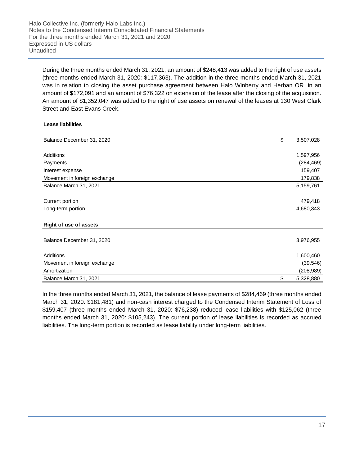Halo Collective Inc. (formerly Halo Labs Inc.) Notes to the Condensed Interim Consolidated Financial Statements For the three months ended March 31, 2021 and 2020 Expressed in US dollars Unaudited

During the three months ended March 31, 2021, an amount of \$248,413 was added to the right of use assets (three months ended March 31, 2020: \$117,363). The addition in the three months ended March 31, 2021 was in relation to closing the asset purchase agreement between Halo Winberry and Herban OR. in an amount of \$172,091 and an amount of \$76,322 on extension of the lease after the closing of the acquisition. An amount of \$1,352,047 was added to the right of use assets on renewal of the leases at 130 West Clark Street and East Evans Creek.

#### **Lease liabilities**

| Balance December 31, 2020    | \$<br>3,507,028 |
|------------------------------|-----------------|
| Additions                    | 1,597,956       |
| Payments                     | (284, 469)      |
| Interest expense             | 159,407         |
| Movement in foreign exchange | 179,838         |
| Balance March 31, 2021       | 5,159,761       |
| Current portion              | 479,418         |
| Long-term portion            | 4,680,343       |
| Right of use of assets       |                 |
| Balance December 31, 2020    | 3,976,955       |
| Additions                    | 1,600,460       |
| Movement in foreign exchange | (39, 546)       |
| Amortization                 | (208, 989)      |
| Balance March 31, 2021       | \$<br>5,328,880 |

In the three months ended March 31, 2021, the balance of lease payments of \$284,469 (three months ended March 31, 2020: \$181,481) and non-cash interest charged to the Condensed Interim Statement of Loss of \$159,407 (three months ended March 31, 2020: \$76,238) reduced lease liabilities with \$125,062 (three months ended March 31, 2020: \$105,243). The current portion of lease liabilities is recorded as accrued liabilities. The long-term portion is recorded as lease liability under long-term liabilities.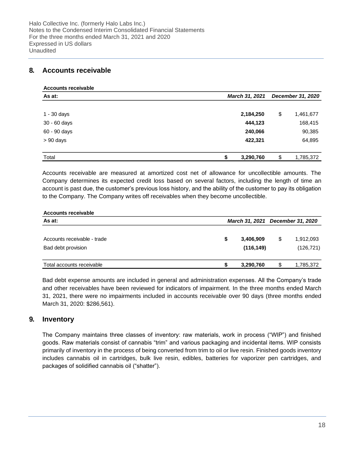## **8. Accounts receivable**

| <b>Accounts receivable</b> |                |                   |    |           |  |
|----------------------------|----------------|-------------------|----|-----------|--|
| As at:                     | March 31, 2021 | December 31, 2020 |    |           |  |
|                            |                |                   |    |           |  |
| $1 - 30$ days              | 2,184,250      |                   | \$ | 1,461,677 |  |
| 30 - 60 days               | 444,123        |                   |    | 168,415   |  |
| 60 - 90 days               | 240,066        |                   |    | 90,385    |  |
| $> 90$ days                | 422,321        |                   |    | 64,895    |  |
|                            |                |                   |    |           |  |
| Total                      | 3,290,760      |                   | \$ | 1,785,372 |  |

Accounts receivable are measured at amortized cost net of allowance for uncollectible amounts. The Company determines its expected credit loss based on several factors, including the length of time an account is past due, the customer's previous loss history, and the ability of the customer to pay its obligation to the Company. The Company writes off receivables when they become uncollectible.

| <b>Accounts receivable</b>                        |                                  |    |                         |
|---------------------------------------------------|----------------------------------|----|-------------------------|
| As at:                                            | March 31, 2021 December 31, 2020 |    |                         |
| Accounts receivable - trade<br>Bad debt provision | 3,406,909<br>(116, 149)          | \$ | 1,912,093<br>(126, 721) |
| Total accounts receivable                         | 3,290,760                        | S  | 1,785,372               |

Bad debt expense amounts are included in general and administration expenses. All the Company's trade and other receivables have been reviewed for indicators of impairment. In the three months ended March 31, 2021, there were no impairments included in accounts receivable over 90 days (three months ended March 31, 2020: \$286,561).

## **9. Inventory**

The Company maintains three classes of inventory: raw materials, work in process ("WIP") and finished goods. Raw materials consist of cannabis "trim" and various packaging and incidental items. WIP consists primarily of inventory in the process of being converted from trim to oil or live resin. Finished goods inventory includes cannabis oil in cartridges, bulk live resin, edibles, batteries for vaporizer pen cartridges, and packages of solidified cannabis oil ("shatter").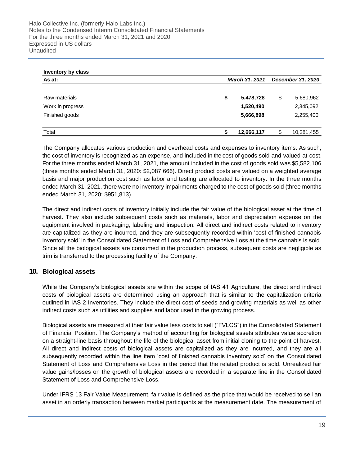| Inventory by class |    |                |    |            |  |  |  |
|--------------------|----|----------------|----|------------|--|--|--|
| As at:             |    | March 31, 2021 |    |            |  |  |  |
|                    |    |                |    |            |  |  |  |
| Raw materials      | \$ | 5,478,728      | \$ | 5,680,962  |  |  |  |
| Work in progress   |    | 1,520,490      |    | 2,345,092  |  |  |  |
| Finished goods     |    | 5,666,898      |    | 2,255,400  |  |  |  |
|                    |    |                |    |            |  |  |  |
| Total              | S  | 12,666,117     | \$ | 10,281,455 |  |  |  |

The Company allocates various production and overhead costs and expenses to inventory items. As such, the cost of inventory is recognized as an expense, and included in the cost of goods sold and valued at cost. For the three months ended March 31, 2021, the amount included in the cost of goods sold was \$5,582,106 (three months ended March 31, 2020: \$2,087,666). Direct product costs are valued on a weighted average basis and major production cost such as labor and testing are allocated to inventory. In the three months ended March 31, 2021, there were no inventory impairments charged to the cost of goods sold (three months ended March 31, 2020: \$951,813).

The direct and indirect costs of inventory initially include the fair value of the biological asset at the time of harvest. They also include subsequent costs such as materials, labor and depreciation expense on the equipment involved in packaging, labeling and inspection. All direct and indirect costs related to inventory are capitalized as they are incurred, and they are subsequently recorded within 'cost of finished cannabis inventory sold' in the Consolidated Statement of Loss and Comprehensive Loss at the time cannabis is sold. Since all the biological assets are consumed in the production process, subsequent costs are negligible as trim is transferred to the processing facility of the Company.

## **10. Biological assets**

While the Company's biological assets are within the scope of IAS 41 Agriculture, the direct and indirect costs of biological assets are determined using an approach that is similar to the capitalization criteria outlined in IAS 2 Inventories. They include the direct cost of seeds and growing materials as well as other indirect costs such as utilities and supplies and labor used in the growing process.

Biological assets are measured at their fair value less costs to sell ("FVLCS") in the Consolidated Statement of Financial Position. The Company's method of accounting for biological assets attributes value accretion on a straight-line basis throughout the life of the biological asset from initial cloning to the point of harvest. All direct and indirect costs of biological assets are capitalized as they are incurred, and they are all subsequently recorded within the line item 'cost of finished cannabis inventory sold' on the Consolidated Statement of Loss and Comprehensive Loss in the period that the related product is sold. Unrealized fair value gains/losses on the growth of biological assets are recorded in a separate line in the Consolidated Statement of Loss and Comprehensive Loss.

Under IFRS 13 Fair Value Measurement, fair value is defined as the price that would be received to sell an asset in an orderly transaction between market participants at the measurement date. The measurement of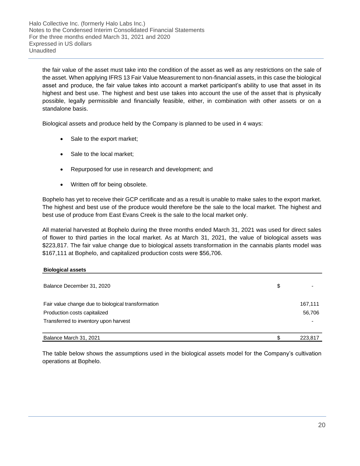Halo Collective Inc. (formerly Halo Labs Inc.) Notes to the Condensed Interim Consolidated Financial Statements For the three months ended March 31, 2021 and 2020 Expressed in US dollars Unaudited

the fair value of the asset must take into the condition of the asset as well as any restrictions on the sale of the asset. When applying IFRS 13 Fair Value Measurement to non-financial assets, in this case the biological asset and produce, the fair value takes into account a market participant's ability to use that asset in its highest and best use. The highest and best use takes into account the use of the asset that is physically possible, legally permissible and financially feasible, either, in combination with other assets or on a standalone basis.

Biological assets and produce held by the Company is planned to be used in 4 ways:

- Sale to the export market;
- Sale to the local market;
- Repurposed for use in research and development; and
- Written off for being obsolete.

Bophelo has yet to receive their GCP certificate and as a result is unable to make sales to the export market. The highest and best use of the produce would therefore be the sale to the local market. The highest and best use of produce from East Evans Creek is the sale to the local market only.

All material harvested at Bophelo during the three months ended March 31, 2021 was used for direct sales of flower to third parties in the local market. As at March 31, 2021, the value of biological assets was \$223,817. The fair value change due to biological assets transformation in the cannabis plants model was \$167,111 at Bophelo, and capitalized production costs were \$56,706.

#### **Biological assets**

| Balance December 31, 2020                          | S |         |
|----------------------------------------------------|---|---------|
| Fair value change due to biological transformation |   | 167,111 |
| Production costs capitalized                       |   | 56,706  |
| Transferred to inventory upon harvest              |   |         |
| Balance March 31, 2021                             |   | 223.817 |

The table below shows the assumptions used in the biological assets model for the Company's cultivation operations at Bophelo.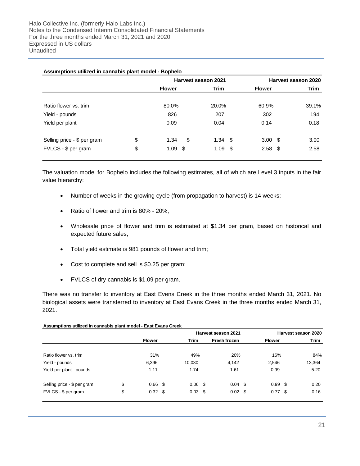|                             |    |              | Harvest season 2021   | Harvest season 2020 |       |               |      |
|-----------------------------|----|--------------|-----------------------|---------------------|-------|---------------|------|
|                             |    |              | Trim<br><b>Flower</b> |                     |       | <b>Flower</b> | Trim |
| Ratio flower vs. trim       |    | 80.0%        | 20.0%                 | 60.9%               | 39.1% |               |      |
| Yield - pounds              |    | 826          | 207                   | 302                 | 194   |               |      |
| Yield per plant             |    | 0.09         | 0.04                  | 0.14                | 0.18  |               |      |
| Selling price - \$ per gram | \$ | \$<br>1.34   | $1.34$ \$             | 3.00 <sup>5</sup>   | 3.00  |               |      |
| FVLCS - \$ per gram         | \$ | - \$<br>1.09 | 1.09<br>- \$          | $2.58$ \$           | 2.58  |               |      |

**Assumptions utilized in cannabis plant model - Bophelo**

The valuation model for Bophelo includes the following estimates, all of which are Level 3 inputs in the fair value hierarchy:

- Number of weeks in the growing cycle (from propagation to harvest) is 14 weeks;
- Ratio of flower and trim is 80% 20%;
- Wholesale price of flower and trim is estimated at \$1.34 per gram, based on historical and expected future sales;
- Total yield estimate is 981 pounds of flower and trim;
- Cost to complete and sell is \$0.25 per gram;
- FVLCS of dry cannabis is \$1.09 per gram.

There was no transfer to inventory at East Evens Creek in the three months ended March 31, 2021. No biological assets were transferred to inventory at East Evans Creek in the three months ended March 31, 2021.

|                             |                      |                 | Harvest season 2021 |               | Harvest season 2020 |
|-----------------------------|----------------------|-----------------|---------------------|---------------|---------------------|
|                             | <b>Flower</b>        | Trim            | Fresh frozen        | <b>Flower</b> | <b>Trim</b>         |
| Ratio flower vs. trim       | 31%                  | 49%             | 20%                 | 16%           | 84%                 |
| Yield - pounds              | 6,396                | 10,030          | 4,142               | 2,546         | 13,364              |
| Yield per plant - pounds    | 1.11                 | 1.74            | 1.61                | 0.99          | 5.20                |
| Selling price - \$ per gram | \$<br>$0.66$ \$      | $0.06$ \$       | $0.04$ \$           | $0.99$ \$     | 0.20                |
| FVLCS - \$ per gram         | \$<br>$0.32 \quad $$ | $0.03 \quad$ \$ | $0.02 \quad$ \$     | $0.77$ \$     | 0.16                |

#### **Assumptions utilized in cannabis plant model - East Evans Creek**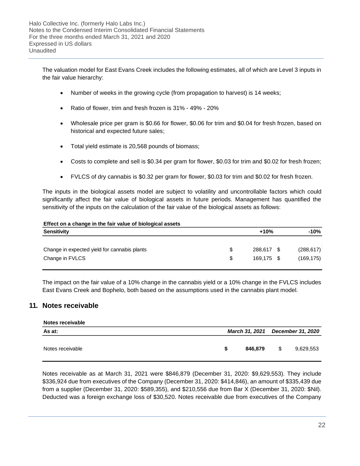The valuation model for East Evans Creek includes the following estimates, all of which are Level 3 inputs in the fair value hierarchy:

- Number of weeks in the growing cycle (from propagation to harvest) is 14 weeks;
- Ratio of flower, trim and fresh frozen is 31% 49% 20%
- Wholesale price per gram is \$0.66 for flower, \$0.06 for trim and \$0.04 for fresh frozen, based on historical and expected future sales;
- Total yield estimate is 20,568 pounds of biomass;
- Costs to complete and sell is \$0.34 per gram for flower, \$0.03 for trim and \$0.02 for fresh frozen;
- FVLCS of dry cannabis is \$0.32 per gram for flower, \$0.03 for trim and \$0.02 for fresh frozen.

The inputs in the biological assets model are subject to volatility and uncontrollable factors which could significantly affect the fair value of biological assets in future periods. Management has quantified the sensitivity of the inputs on the calculation of the fair value of the biological assets as follows:

#### **Effect on a change in the fair value of biological assets**

| Sensitivity                                       | $+10%$     | $-10%$     |
|---------------------------------------------------|------------|------------|
|                                                   |            |            |
| Change in expected yield for cannabis plants<br>S | 288,617 \$ | (288, 617) |
| Change in FVLCS<br>\$                             | 169.175 \$ | (169, 175) |

The impact on the fair value of a 10% change in the cannabis yield or a 10% change in the FVLCS includes East Evans Creek and Bophelo, both based on the assumptions used in the cannabis plant model.

### **11. Notes receivable**

| Notes receivable |   |         |    |                                  |
|------------------|---|---------|----|----------------------------------|
| As at:           |   |         |    | March 31, 2021 December 31, 2020 |
| Notes receivable | S | 846,879 | -S | 9,629,553                        |

Notes receivable as at March 31, 2021 were \$846,879 (December 31, 2020: \$9,629,553). They include \$336,924 due from executives of the Company (December 31, 2020: \$414,846), an amount of \$335,439 due from a supplier (December 31, 2020: \$589,355), and \$210,556 due from Bar X (December 31, 2020: \$Nil). Deducted was a foreign exchange loss of \$30,520. Notes receivable due from executives of the Company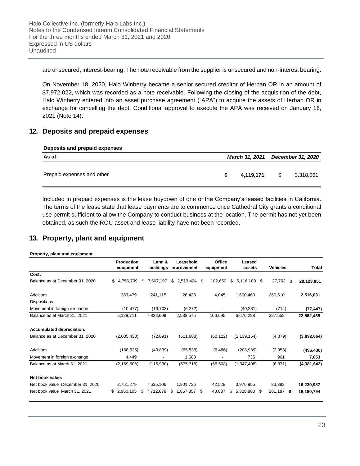are unsecured, interest-bearing. The note receivable from the supplier is unsecured and non-interest bearing.

On November 18, 2020, Halo Winberry became a senior secured creditor of Herban OR in an amount of \$7,972,022, which was recorded as a note receivable. Following the closing of the acquisition of the debt, Halo Winberry entered into an asset purchase agreement ("APA") to acquire the assets of Herban OR in exchange for cancelling the debt. Conditional approval to execute the APA was received on January 16, 2021 (Note 14).

## **12. Deposits and prepaid expenses**

| Deposits and prepaid expenses |  |  |
|-------------------------------|--|--|
|                               |  |  |

| As at:                     | March 31, 2021 December 31, 2020 |          |           |
|----------------------------|----------------------------------|----------|-----------|
| Prepaid expenses and other | 4.119.171                        | <b>S</b> | 3,318,061 |

Included in prepaid expenses is the lease buydown of one of the Company's leased facilities in California. The terms of the lease state that lease payments are to commence once Cathedral City grants a conditional use permit sufficient to allow the Company to conduct business at the location. The permit has not yet been obtained, as such the ROU asset and lease liability have not been recorded.

## **13. Property, plant and equipment**

#### **Property, plant and equipment**

|                                  | Production<br>equipment | Land &                   | Leasehold<br>buildings improvement | Office<br>equipment      | Leased<br>assets     | <b>Vehicles</b> | <b>Total</b> |
|----------------------------------|-------------------------|--------------------------|------------------------------------|--------------------------|----------------------|-----------------|--------------|
| Cost:                            |                         |                          |                                    |                          |                      |                 |              |
| Balance as at December 31, 2020  | \$<br>4.756.709         | 7,607,197<br>\$          | \$2,513,424                        | 102,650<br>- \$          | \$<br>5,116,109<br>S | 27,762 \$       | 20,123,851   |
| Additions                        | 383,479                 | 241,115                  | 26,423                             | 4,045                    | 1,600,460            | 260,510         | 2,516,031    |
| <b>Dispositions</b>              |                         |                          |                                    |                          |                      |                 |              |
| Movement in foreign exchange     | (10, 477)               | (19,703)                 | (6,272)                            |                          | (40, 281)            | (714)           | (77, 447)    |
| Balance as at March 31, 2021     | 5,129,711               | 7,828,609                | 2,533,575                          | 106,695                  | 6,676,288            | 287,558         | 22,562,435   |
| <b>Accumulated depreciation:</b> |                         |                          |                                    |                          |                      |                 |              |
| Balance as at December 31, 2020  | (2,005,430)             | (72,091)                 | (611, 688)                         | (60, 122)                | (1, 139, 154)        | (4,379)         | (3,892,864)  |
| Additions                        | (168, 625)              | (43, 839)                | (65, 538)                          | (6, 486)                 | (208, 989)           | (2,953)         | (496, 430)   |
| Movement in foreign exchange     | 4,449                   | $\overline{\phantom{a}}$ | 1,508                              | $\overline{\phantom{a}}$ | 735                  | 961             | 7,653        |
| Balance as at March 31, 2021     | (2, 169, 606)           | (115,930)                | (675, 718)                         | (66, 608)                | (1,347,408)          | (6, 371)        | (4,381,642)  |
| Net book value:                  |                         |                          |                                    |                          |                      |                 |              |
| Net book value December 31, 2020 | 2,751,279               | 7,535,106                | 1,901,736                          | 42,528                   | 3,976,955            | 23,383          | 16,230,987   |
| Net book value March 31, 2021    | 2,960,105<br>\$         | \$<br>7,712,678          | \$<br>1,857,857                    | 40,087<br>- \$           | \$<br>5,328,880<br>S | 281,187<br>Ŝ.   | 18,180,794   |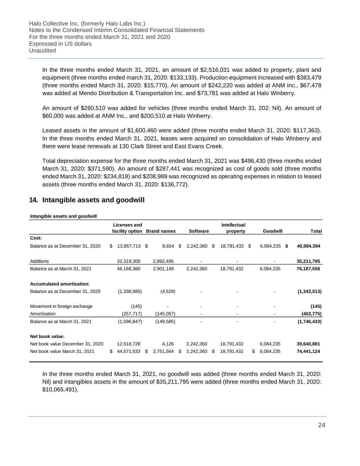Halo Collective Inc. (formerly Halo Labs Inc.) Notes to the Condensed Interim Consolidated Financial Statements For the three months ended March 31, 2021 and 2020 Expressed in US dollars Unaudited

In the three months ended March 31, 2021, an amount of \$2,516,031 was added to property, plant and equipment (three months ended march 31, 2020: \$133,133). Production equipment increased with \$383,479 (three months ended March 31, 2020: \$15,770). An amount of \$242,220 was added at ANM Inc., \$67,478 was added at Mendo Distribution & Transportation Inc. and \$73,781 was added at Halo Winberry.

An amount of \$260,510 was added for vehicles (three months ended March 31, 202: Nil). An amount of \$60,000 was added at ANM Inc., and \$200,510 at Halo Winberry.

Leased assets in the amount of \$1,600,460 were added (three months ended March 31, 2020: \$117,363). In the three months ended March 31, 2021, leases were acquired on consolidation of Halo Winberry and there were lease renewals at 130 Clark Street and East Evans Creek.

Total depreciation expense for the three months ended March 31, 2021 was \$496,430 (three months ended March 31, 2020: \$371,590). An amount of \$287,441 was recognized as cost of goods sold (three months ended March 31, 2020: \$234,818) and \$208,989 was recognized as operating expenses in relation to leased assets (three months ended March 31, 2020: \$136,772).

## **14. Intangible assets and goodwill**

#### **Intangible assets and goodwill**

|                                  |     | Licenses and    |     |                    |     |                 |    | <b>Intellectual</b> |      |                 |               |
|----------------------------------|-----|-----------------|-----|--------------------|-----|-----------------|----|---------------------|------|-----------------|---------------|
|                                  |     | facility option |     | <b>Brand names</b> |     | <b>Software</b> |    | property            |      | Goodwill        | Total         |
| Cost:                            |     |                 |     |                    |     |                 |    |                     |      |                 |               |
| Balance as at December 31, 2020  | \$. | 13,857,713 \$   |     | 8,654              | \$. | 2,242,360       | \$ | 18,791,432          | - \$ | 6,084,235<br>\$ | 40,984,394    |
| Additions                        |     | 32,319,300      |     | 2,892,495          |     |                 |    |                     |      |                 | 35,211,795    |
| Balance as at March 31, 2021     |     | 46,168,380      |     | 2,901,149          |     | 2,242,360       |    | 18,791,432          |      | 6,084,235       | 76,187,556    |
| <b>Accumulated amortization:</b> |     |                 |     |                    |     |                 |    |                     |      |                 |               |
| Balance as at December 31, 2020  |     | (1,338,985)     |     | (4,528)            |     |                 |    |                     |      |                 | (1, 343, 513) |
| Movement in foreign exchange     |     | (145)           |     |                    |     |                 |    |                     |      |                 | (145)         |
| Amortization                     |     | (257,717)       |     | (145, 057)         |     |                 |    |                     |      |                 | (402, 775)    |
| Balance as at March 31, 2021     |     | (1,596,847)     |     | (149, 585)         |     |                 |    |                     |      |                 | (1,746,433)   |
| Net book value:                  |     |                 |     |                    |     |                 |    |                     |      |                 |               |
| Net book value December 31, 2020 |     | 12,518,728      |     | 4,126              |     | 2,242,360       |    | 18,791,432          |      | 6,084,235       | 39,640,881    |
| Net book value March 31, 2021    | \$. | 44,571,533      | SS. | 2,751,564          | S.  | 2,242,360       | S  | 18,791,432          | S.   | 6,084,235       | 74,441,124    |

In the three months ended March 31, 2021, no goodwill was added (three months ended March 31, 2020: Nil) and intangibles assets in the amount of \$35,211,795 were added (three months ended March 31, 2020: \$10,065,491).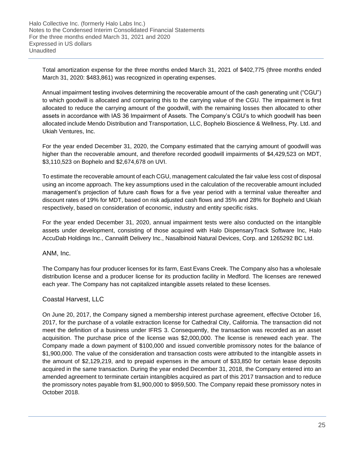Total amortization expense for the three months ended March 31, 2021 of \$402,775 (three months ended March 31, 2020: \$483,861) was recognized in operating expenses.

Annual impairment testing involves determining the recoverable amount of the cash generating unit ("CGU") to which goodwill is allocated and comparing this to the carrying value of the CGU. The impairment is first allocated to reduce the carrying amount of the goodwill, with the remaining losses then allocated to other assets in accordance with IAS 36 Impairment of Assets. The Company's CGU's to which goodwill has been allocated include Mendo Distribution and Transportation, LLC, Bophelo Bioscience & Wellness, Pty. Ltd. and Ukiah Ventures, Inc.

For the year ended December 31, 2020, the Company estimated that the carrying amount of goodwill was higher than the recoverable amount, and therefore recorded goodwill impairments of \$4,429,523 on MDT, \$3,110,523 on Bophelo and \$2,674,678 on UVI.

To estimate the recoverable amount of each CGU, management calculated the fair value less cost of disposal using an income approach. The key assumptions used in the calculation of the recoverable amount included management's projection of future cash flows for a five year period with a terminal value thereafter and discount rates of 19% for MDT, based on risk adjusted cash flows and 35% and 28% for Bophelo and Ukiah respectively, based on consideration of economic, industry and entity specific risks.

For the year ended December 31, 2020, annual impairment tests were also conducted on the intangible assets under development, consisting of those acquired with Halo DispensaryTrack Software Inc, Halo AccuDab Holdings Inc., Cannalift Delivery Inc., Nasalbinoid Natural Devices, Corp. and 1265292 BC Ltd.

ANM, Inc.

The Company has four producer licenses for its farm, East Evans Creek. The Company also has a wholesale distribution license and a producer license for its production facility in Medford. The licenses are renewed each year. The Company has not capitalized intangible assets related to these licenses.

## Coastal Harvest, LLC

On June 20, 2017, the Company signed a membership interest purchase agreement, effective October 16, 2017, for the purchase of a volatile extraction license for Cathedral City, California. The transaction did not meet the definition of a business under IFRS 3. Consequently, the transaction was recorded as an asset acquisition. The purchase price of the license was \$2,000,000. The license is renewed each year. The Company made a down payment of \$100,000 and issued convertible promissory notes for the balance of \$1,900,000. The value of the consideration and transaction costs were attributed to the intangible assets in the amount of \$2,129,219, and to prepaid expenses in the amount of \$33,850 for certain lease deposits acquired in the same transaction. During the year ended December 31, 2018, the Company entered into an amended agreement to terminate certain intangibles acquired as part of this 2017 transaction and to reduce the promissory notes payable from \$1,900,000 to \$959,500. The Company repaid these promissory notes in October 2018.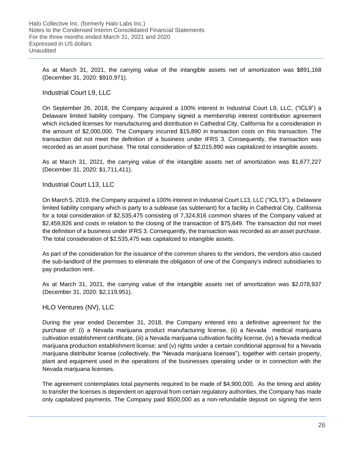As at March 31, 2021, the carrying value of the intangible assets net of amortization was \$891,168 (December 31, 2020: \$910,971).

## Industrial Court L9, LLC

On September 26, 2018, the Company acquired a 100% interest in Industrial Court L9, LLC, ("ICL9") a Delaware limited liability company. The Company signed a membership interest contribution agreement which included licenses for manufacturing and distribution in Cathedral City, California for a consideration in the amount of \$2,000,000. The Company incurred \$15,890 in transaction costs on this transaction. The transaction did not meet the definition of a business under IFRS 3. Consequently, the transaction was recorded as an asset purchase. The total consideration of \$2,015,890 was capitalized to intangible assets.

As at March 31, 2021, the carrying value of the intangible assets net of amortization was \$1,677,227 (December 31, 2020: \$1,711,411).

## Industrial Court L13, LLC

On March 5, 2019, the Company acquired a 100% interest in Industrial Court L13, LLC ("ICL13"), a Delaware limited liability company which is party to a sublease (as subtenant) for a facility in Cathedral City, California for a total consideration of \$2,535,475 consisting of 7,324,816 common shares of the Company valued at \$2,459,826 and costs in relation to the closing of the transaction of \$75,649. The transaction did not meet the definition of a business under IFRS 3. Consequently, the transaction was recorded as an asset purchase. The total consideration of \$2,535,475 was capitalized to intangible assets.

As part of the consideration for the issuance of the common shares to the vendors, the vendors also caused the sub-landlord of the premises to eliminate the obligation of one of the Company's indirect subsidiaries to pay production rent.

As at March 31, 2021, the carrying value of the intangible assets net of amortization was \$2,078,937 (December 31, 2020: \$2,119,951).

### HLO Ventures (NV), LLC

During the year ended December 31, 2018, the Company entered into a definitive agreement for the purchase of: (i) a Nevada marijuana product manufacturing license, (ii) a Nevada medical marijuana cultivation establishment certificate, (iii) a Nevada marijuana cultivation facility license, (iv) a Nevada medical marijuana production establishment license; and (v) rights under a certain conditional approval for a Nevada marijuana distributor license (collectively, the "Nevada marijuana licenses"), together with certain property, plant and equipment used in the operations of the businesses operating under or in connection with the Nevada marijuana licenses.

The agreement contemplates total payments required to be made of \$4,900,000. As the timing and ability to transfer the licenses is dependent on approval from certain regulatory authorities, the Company has made only capitalized payments. The Company paid \$500,000 as a non-refundable deposit on signing the term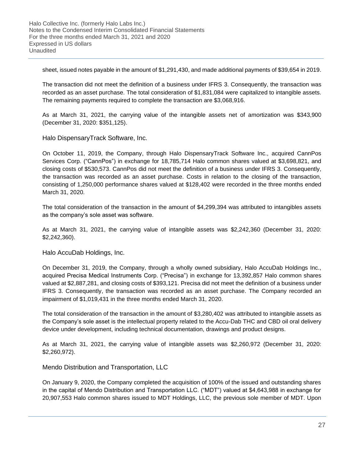sheet, issued notes payable in the amount of \$1,291,430, and made additional payments of \$39,654 in 2019.

The transaction did not meet the definition of a business under IFRS 3. Consequently, the transaction was recorded as an asset purchase. The total consideration of \$1,831,084 were capitalized to intangible assets. The remaining payments required to complete the transaction are \$3,068,916.

As at March 31, 2021, the carrying value of the intangible assets net of amortization was \$343,900 (December 31, 2020: \$351,125).

Halo DispensaryTrack Software, Inc.

On October 11, 2019, the Company, through Halo DispensaryTrack Software Inc., acquired CannPos Services Corp. ("CannPos") in exchange for 18,785,714 Halo common shares valued at \$3,698,821, and closing costs of \$530,573. CannPos did not meet the definition of a business under IFRS 3. Consequently, the transaction was recorded as an asset purchase. Costs in relation to the closing of the transaction, consisting of 1,250,000 performance shares valued at \$128,402 were recorded in the three months ended March 31, 2020.

The total consideration of the transaction in the amount of \$4,299,394 was attributed to intangibles assets as the company's sole asset was software.

As at March 31, 2021, the carrying value of intangible assets was \$2,242,360 (December 31, 2020: \$2,242,360).

Halo AccuDab Holdings, Inc.

On December 31, 2019, the Company, through a wholly owned subsidiary, Halo AccuDab Holdings Inc., acquired Precisa Medical Instruments Corp. ("Precisa") in exchange for 13,392,857 Halo common shares valued at \$2,887,281, and closing costs of \$393,121. Precisa did not meet the definition of a business under IFRS 3. Consequently, the transaction was recorded as an asset purchase. The Company recorded an impairment of \$1,019,431 in the three months ended March 31, 2020.

The total consideration of the transaction in the amount of \$3,280,402 was attributed to intangible assets as the Company's sole asset is the intellectual property related to the Accu-Dab THC and CBD oil oral delivery device under development, including technical documentation, drawings and product designs.

As at March 31, 2021, the carrying value of intangible assets was \$2,260,972 (December 31, 2020: \$2,260,972).

Mendo Distribution and Transportation, LLC

On January 9, 2020, the Company completed the acquisition of 100% of the issued and outstanding shares in the capital of Mendo Distribution and Transportation LLC. ("MDT") valued at \$4,643,988 in exchange for 20,907,553 Halo common shares issued to MDT Holdings, LLC, the previous sole member of MDT. Upon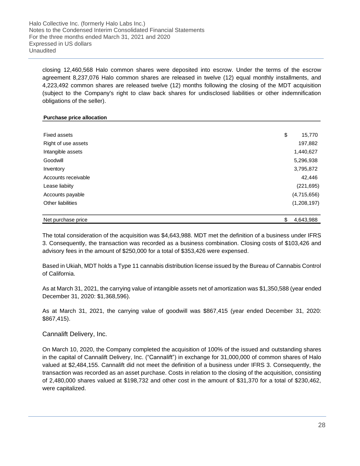Halo Collective Inc. (formerly Halo Labs Inc.) Notes to the Condensed Interim Consolidated Financial Statements For the three months ended March 31, 2021 and 2020 Expressed in US dollars Unaudited

closing 12,460,568 Halo common shares were deposited into escrow. Under the terms of the escrow agreement 8,237,076 Halo common shares are released in twelve (12) equal monthly installments, and 4,223,492 common shares are released twelve (12) months following the closing of the MDT acquisition (subject to the Company's right to claw back shares for undisclosed liabilities or other indemnification obligations of the seller).

#### **Purchase price allocation**

| <b>Fixed assets</b> | \$<br>15,770 |
|---------------------|--------------|
| Right of use assets | 197,882      |
| Intangible assets   | 1,440,627    |
| Goodwill            | 5,296,938    |
| Inventory           | 3,795,872    |
| Accounts receivable | 42,446       |
| Lease liabiity      | (221, 695)   |
| Accounts payable    | (4,715,656)  |
| Other liabilities   | (1,208,197)  |
|                     |              |

| Net p          |          |
|----------------|----------|
| purchase price | .643.988 |

The total consideration of the acquisition was \$4,643,988. MDT met the definition of a business under IFRS 3. Consequently, the transaction was recorded as a business combination. Closing costs of \$103,426 and advisory fees in the amount of \$250,000 for a total of \$353,426 were expensed.

Based in Ukiah, MDT holds a Type 11 cannabis distribution license issued by the Bureau of Cannabis Control of California.

As at March 31, 2021, the carrying value of intangible assets net of amortization was \$1,350,588 (year ended December 31, 2020: \$1,368,596).

As at March 31, 2021, the carrying value of goodwill was \$867,415 (year ended December 31, 2020: \$867,415).

Cannalift Delivery, Inc.

On March 10, 2020, the Company completed the acquisition of 100% of the issued and outstanding shares in the capital of Cannalift Delivery, Inc. ("Cannalift") in exchange for 31,000,000 of common shares of Halo valued at \$2,484,155. Cannalift did not meet the definition of a business under IFRS 3. Consequently, the transaction was recorded as an asset purchase. Costs in relation to the closing of the acquisition, consisting of 2,480,000 shares valued at \$198,732 and other cost in the amount of \$31,370 for a total of \$230,462, were capitalized.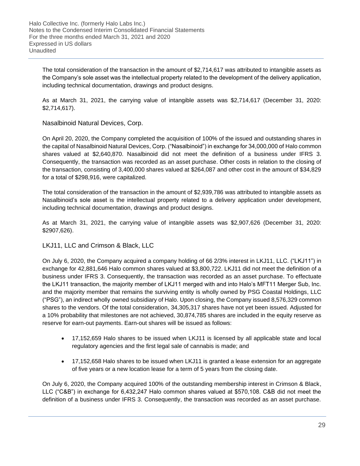The total consideration of the transaction in the amount of \$2,714,617 was attributed to intangible assets as the Company's sole asset was the intellectual property related to the development of the delivery application, including technical documentation, drawings and product designs.

As at March 31, 2021, the carrying value of intangible assets was \$2,714,617 (December 31, 2020: \$2,714,617).

Nasalbinoid Natural Devices, Corp.

On April 20, 2020, the Company completed the acquisition of 100% of the issued and outstanding shares in the capital of Nasalbinoid Natural Devices, Corp. ("Nasalbinoid") in exchange for 34,000,000 of Halo common shares valued at \$2,640,870. Nasalbinoid did not meet the definition of a business under IFRS 3. Consequently, the transaction was recorded as an asset purchase. Other costs in relation to the closing of the transaction, consisting of 3,400,000 shares valued at \$264,087 and other cost in the amount of \$34,829 for a total of \$298,916, were capitalized.

The total consideration of the transaction in the amount of \$2,939,786 was attributed to intangible assets as Nasalbinoid's sole asset is the intellectual property related to a delivery application under development, including technical documentation, drawings and product designs.

As at March 31, 2021, the carrying value of intangible assets was \$2,907,626 (December 31, 2020: \$2907,626).

## LKJ11, LLC and Crimson & Black, LLC

On July 6, 2020, the Company acquired a company holding of 66 2/3% interest in LKJ11, LLC. ("LKJ11") in exchange for 42,881,646 Halo common shares valued at \$3,800,722. LKJ11 did not meet the definition of a business under IFRS 3. Consequently, the transaction was recorded as an asset purchase. To effectuate the LKJ11 transaction, the majority member of LKJ11 merged with and into Halo's MFT11 Merger Sub, Inc. and the majority member that remains the surviving entity is wholly owned by PSG Coastal Holdings, LLC ("PSG"), an indirect wholly owned subsidiary of Halo. Upon closing, the Company issued 8,576,329 common shares to the vendors. Of the total consideration, 34,305,317 shares have not yet been issued. Adjusted for a 10% probability that milestones are not achieved, 30,874,785 shares are included in the equity reserve as reserve for earn-out payments. Earn-out shares will be issued as follows:

- 17,152,659 Halo shares to be issued when LKJ11 is licensed by all applicable state and local regulatory agencies and the first legal sale of cannabis is made; and
- 17,152,658 Halo shares to be issued when LKJ11 is granted a lease extension for an aggregate of five years or a new location lease for a term of 5 years from the closing date.

On July 6, 2020, the Company acquired 100% of the outstanding membership interest in Crimson & Black, LLC ("C&B") in exchange for 6,432,247 Halo common shares valued at \$570,108. C&B did not meet the definition of a business under IFRS 3. Consequently, the transaction was recorded as an asset purchase.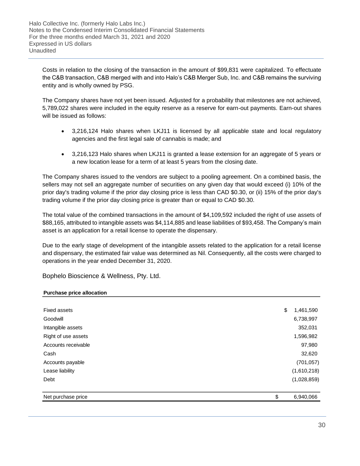Costs in relation to the closing of the transaction in the amount of \$99,831 were capitalized. To effectuate the C&B transaction, C&B merged with and into Halo's C&B Merger Sub, Inc. and C&B remains the surviving entity and is wholly owned by PSG.

The Company shares have not yet been issued. Adjusted for a probability that milestones are not achieved, 5,789,022 shares were included in the equity reserve as a reserve for earn-out payments. Earn-out shares will be issued as follows:

- 3,216,124 Halo shares when LKJ11 is licensed by all applicable state and local regulatory agencies and the first legal sale of cannabis is made; and
- 3,216,123 Halo shares when LKJ11 is granted a lease extension for an aggregate of 5 years or a new location lease for a term of at least 5 years from the closing date.

The Company shares issued to the vendors are subject to a pooling agreement. On a combined basis, the sellers may not sell an aggregate number of securities on any given day that would exceed (i) 10% of the prior day's trading volume if the prior day closing price is less than CAD \$0.30, or (ii) 15% of the prior day's trading volume if the prior day closing price is greater than or equal to CAD \$0.30.

The total value of the combined transactions in the amount of \$4,109,592 included the right of use assets of \$88,165, attributed to intangible assets was \$4,114,885 and lease liabilities of \$93,458. The Company's main asset is an application for a retail license to operate the dispensary.

Due to the early stage of development of the intangible assets related to the application for a retail license and dispensary, the estimated fair value was determined as Nil. Consequently, all the costs were charged to operations in the year ended December 31, 2020.

Bophelo Bioscience & Wellness, Pty. Ltd.

#### **Purchase price allocation**

| <b>Fixed assets</b> | \$<br>1,461,590 |
|---------------------|-----------------|
| Goodwill            | 6,738,997       |
| Intangible assets   | 352,031         |
| Right of use assets | 1,596,982       |
| Accounts receivable | 97,980          |
| Cash                | 32,620          |
| Accounts payable    | (701, 057)      |
| Lease liability     | (1,610,218)     |
| Debt                | (1,028,859)     |
| Net purchase price  | \$<br>6,940,066 |
|                     |                 |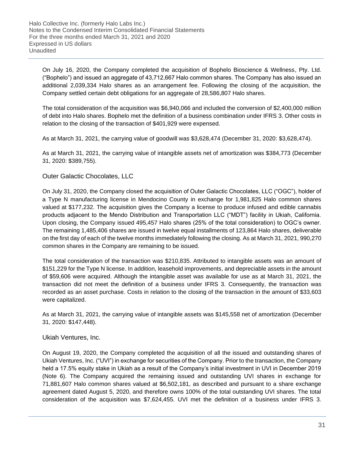On July 16, 2020, the Company completed the acquisition of Bophelo Bioscience & Wellness, Pty. Ltd. ("Bophelo") and issued an aggregate of 43,712,667 Halo common shares. The Company has also issued an additional 2,039,334 Halo shares as an arrangement fee. Following the closing of the acquisition, the Company settled certain debt obligations for an aggregate of 28,586,807 Halo shares.

The total consideration of the acquisition was \$6,940,066 and included the conversion of \$2,400,000 million of debt into Halo shares. Bophelo met the definition of a business combination under IFRS 3. Other costs in relation to the closing of the transaction of \$401,929 were expensed.

As at March 31, 2021, the carrying value of goodwill was \$3,628,474 (December 31, 2020: \$3,628,474).

As at March 31, 2021, the carrying value of intangible assets net of amortization was \$384,773 (December 31, 2020: \$389,755).

## Outer Galactic Chocolates, LLC

On July 31, 2020, the Company closed the acquisition of Outer Galactic Chocolates, LLC ("OGC"), holder of a Type N manufacturing license in Mendocino County in exchange for 1,981,825 Halo common shares valued at \$177,232. The acquisition gives the Company a license to produce infused and edible cannabis products adjacent to the Mendo Distribution and Transportation LLC ("MDT") facility in Ukiah, California. Upon closing, the Company issued 495,457 Halo shares (25% of the total consideration) to OGC's owner. The remaining 1,485,406 shares are issued in twelve equal installments of 123,864 Halo shares, deliverable on the first day of each of the twelve months immediately following the closing. As at March 31, 2021, 990,270 common shares in the Company are remaining to be issued.

The total consideration of the transaction was \$210,835. Attributed to intangible assets was an amount of \$151,229 for the Type N license. In addition, leasehold improvements, and depreciable assets in the amount of \$59,606 were acquired. Although the intangible asset was available for use as at March 31, 2021, the transaction did not meet the definition of a business under IFRS 3. Consequently, the transaction was recorded as an asset purchase. Costs in relation to the closing of the transaction in the amount of \$33,603 were capitalized.

As at March 31, 2021, the carrying value of intangible assets was \$145,558 net of amortization (December 31, 2020: \$147,448).

### Ukiah Ventures, Inc.

On August 19, 2020, the Company completed the acquisition of all the issued and outstanding shares of Ukiah Ventures, Inc. ("UVI") in exchange for securities of the Company. Prior to the transaction, the Company held a 17.5% equity stake in Ukiah as a result of the Company's initial investment in UVI in December 2019 (Note 6). The Company acquired the remaining issued and outstanding UVI shares in exchange for 71,881,607 Halo common shares valued at \$6,502,181, as described and pursuant to a share exchange agreement dated August 5, 2020, and therefore owns 100% of the total outstanding UVI shares. The total consideration of the acquisition was \$7,624,455. UVI met the definition of a business under IFRS 3.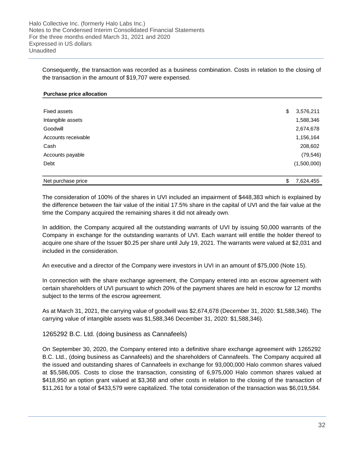Consequently, the transaction was recorded as a business combination. Costs in relation to the closing of the transaction in the amount of \$19,707 were expensed.

#### **Purchase price allocation**

| Fixed assets        | \$<br>3,576,211 |
|---------------------|-----------------|
| Intangible assets   | 1,588,346       |
| Goodwill            | 2,674,678       |
| Accounts receivable | 1,156,164       |
| Cash                | 208,602         |
| Accounts payable    | (79, 546)       |
| Debt                | (1,500,000)     |
| Net purchase price  | \$<br>7,624,455 |

The consideration of 100% of the shares in UVI included an impairment of \$448,383 which is explained by the difference between the fair value of the initial 17.5% share in the capital of UVI and the fair value at the time the Company acquired the remaining shares it did not already own.

In addition, the Company acquired all the outstanding warrants of UVI by issuing 50,000 warrants of the Company in exchange for the outstanding warrants of UVI. Each warrant will entitle the holder thereof to acquire one share of the Issuer \$0.25 per share until July 19, 2021. The warrants were valued at \$2,031 and included in the consideration.

An executive and a director of the Company were investors in UVI in an amount of \$75,000 (Note 15).

In connection with the share exchange agreement, the Company entered into an escrow agreement with certain shareholders of UVI pursuant to which 20% of the payment shares are held in escrow for 12 months subject to the terms of the escrow agreement.

As at March 31, 2021, the carrying value of goodwill was \$2,674,678 (December 31, 2020: \$1,588,346). The carrying value of intangible assets was \$1,588,346 December 31, 2020: \$1,588,346).

1265292 B.C. Ltd. (doing business as Cannafeels)

On September 30, 2020, the Company entered into a definitive share exchange agreement with 1265292 B.C. Ltd., (doing business as Cannafeels) and the shareholders of Cannafeels. The Company acquired all the issued and outstanding shares of Cannafeels in exchange for 93,000,000 Halo common shares valued at \$5,586,005. Costs to close the transaction, consisting of 6,975,000 Halo common shares valued at \$418,950 an option grant valued at \$3,368 and other costs in relation to the closing of the transaction of \$11,261 for a total of \$433,579 were capitalized. The total consideration of the transaction was \$6,019,584.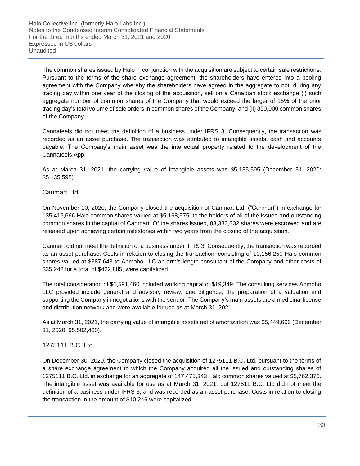The common shares issued by Halo in conjunction with the acquisition are subject to certain sale restrictions. Pursuant to the terms of the share exchange agreement, the shareholders have entered into a pooling agreement with the Company whereby the shareholders have agreed in the aggregate to not, during any trading day within one year of the closing of the acquisition, sell on a Canadian stock exchange (i) such aggregate number of common shares of the Company that would exceed the larger of 15% of the prior trading day's total volume of sale orders in common shares of the Company, and (ii) 350,000 common shares of the Company.

Cannafeels did not meet the definition of a business under IFRS 3. Consequently, the transaction was recorded as an asset purchase. The transaction was attributed to intangible assets, cash and accounts payable. The Company's main asset was the intellectual property related to the development of the Cannafeels App.

As at March 31, 2021, the carrying value of intangible assets was \$5,135,595 (December 31, 2020: \$5,135,595).

## Canmart Ltd.

On November 10, 2020, the Company closed the acquisition of Canmart Ltd. ("Canmart") in exchange for 135,416,666 Halo common shares valued at \$5,168,575, to the holders of all of the issued and outstanding common shares in the capital of Canmart. Of the shares issued, 83,333,332 shares were escrowed and are released upon achieving certain milestones within two years from the closing of the acquisition.

Canmart did not meet the definition of a business under IFRS 3. Consequently, the transaction was recorded as an asset purchase. Costs in relation to closing the transaction, consisting of 10,156,250 Halo common shares valued at \$387,643 to Anmoho LLC an arm's length consultant of the Company and other costs of \$35,242 for a total of \$422,885, were capitalized.

The total consideration of \$5,591,460 included working capital of \$19,349. The consulting services Anmoho LLC provided include general and advisory review, due diligence, the preparation of a valuation and supporting the Company in negotiations with the vendor. The Company's main assets are a medicinal license and distribution network and were available for use as at March 31, 2021.

As at March 31, 2021, the carrying value of intangible assets net of amortization was \$5,449,609 (December 31, 2020: \$5,502,460).

### 1275111 B.C. Ltd.

On December 30, 2020, the Company closed the acquisition of 1275111 B.C. Ltd. pursuant to the terms of a share exchange agreement to which the Company acquired all the issued and outstanding shares of 1275111 B.C. Ltd. in exchange for an aggregate of 147,475,343 Halo common shares valued at \$5,762,376. The intangible asset was available for use as at March 31, 2021, but 127511 B.C. Ltd did not meet the definition of a business under IFRS 3, and was recorded as an asset purchase. Costs in relation to closing the transaction in the amount of \$10,246 were capitalized.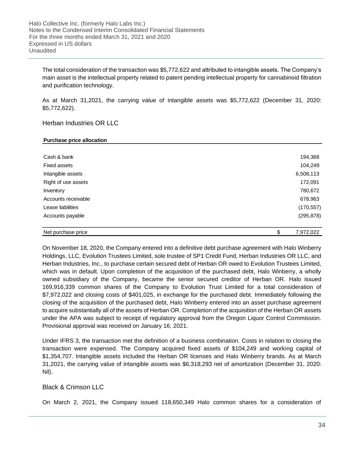The total consideration of the transaction was \$5,772,622 and attributed to intangible assets. The Company's main asset is the intellectual property related to patent pending intellectual property for cannabinoid filtration and purification technology.

As at March 31,2021, the carrying value of intangible assets was \$5,772,622 (December 31, 2020: \$5,772,622).

#### Herban Industries OR LLC

#### **Purchase price allocation**

| Net purchase price  | \$<br>7,972,022 |
|---------------------|-----------------|
| Accounts payable    | (295, 878)      |
|                     |                 |
| Lease liabilities   | (170, 557)      |
| Accounts receivable | 678,963         |
| Inventory           | 780,672         |
| Right of use assets | 172,091         |
| Intangible assets   | 6,508,113       |
| <b>Fixed assets</b> | 104,249         |
| Cash & bank         | 194,368         |
|                     |                 |

On November 18, 2020, the Company entered into a definitive debt purchase agreement with Halo Winberry Holdings, LLC, Evolution Trustees Limited, sole trustee of SP1 Credit Fund, Herban Industries OR LLC, and Herban Industries, Inc., to purchase certain secured debt of Herban OR owed to Evolution Trustees Limited, which was in default. Upon completion of the acquisition of the purchased debt, Halo Winberry, a wholly owned subsidiary of the Company, became the senior secured creditor of Herban OR. Halo issued 169,916,339 common shares of the Company to Evolution Trust Limited for a total consideration of \$7,972,022 and closing costs of \$401,025, in exchange for the purchased debt. Immediately following the closing of the acquisition of the purchased debt, Halo Winberry entered into an asset purchase agreement to acquire substantially all of the assets of Herban OR. Completion of the acquisition of the Herban OR assets under the APA was subject to receipt of regulatory approval from the Oregon Liquor Control Commission. Provisional approval was received on January 16, 2021.

Under IFRS 3, the transaction met the definition of a business combination. Costs in relation to closing the transaction were expensed. The Company acquired fixed assets of \$104,249 and working capital of \$1,354,707. Intangible assets included the Herban OR licenses and Halo Winberry brands. As at March 31,2021, the carrying value of intangible assets was \$6,318,293 net of amortization (December 31, 2020: Nil).

#### Black & Crimson LLC

On March 2, 2021, the Company issued 118,650,349 Halo common shares for a consideration of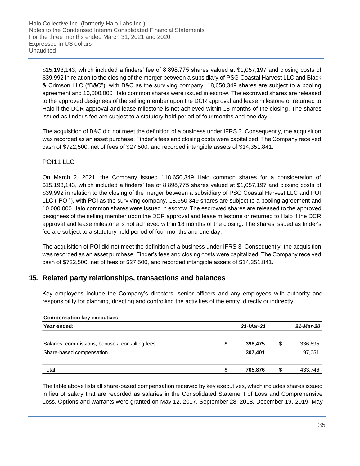\$15,193,143, which included a finders' fee of 8,898,775 shares valued at \$1,057,197 and closing costs of \$39,992 in relation to the closing of the merger between a subsidiary of PSG Coastal Harvest LLC and Black & Crimson LLC ("B&C"), with B&C as the surviving company. 18,650,349 shares are subject to a pooling agreement and 10,000,000 Halo common shares were issued in escrow. The escrowed shares are released to the approved designees of the selling member upon the DCR approval and lease milestone or returned to Halo if the DCR approval and lease milestone is not achieved within 18 months of the closing. The shares issued as finder's fee are subject to a statutory hold period of four months and one day.

The acquisition of B&C did not meet the definition of a business under IFRS 3. Consequently, the acquisition was recorded as an asset purchase. Finder's fees and closing costs were capitalized. The Company received cash of \$722,500, net of fees of \$27,500, and recorded intangible assets of \$14,351,841.

## POI11 LLC

On March 2, 2021, the Company issued 118,650,349 Halo common shares for a consideration of \$15,193,143, which included a finders' fee of 8,898,775 shares valued at \$1,057,197 and closing costs of \$39,992 in relation to the closing of the merger between a subsidiary of PSG Coastal Harvest LLC and POI LLC ("POI"), with POI as the surviving company. 18,650,349 shares are subject to a pooling agreement and 10,000,000 Halo common shares were issued in escrow. The escrowed shares are released to the approved designees of the selling member upon the DCR approval and lease milestone or returned to Halo if the DCR approval and lease milestone is not achieved within 18 months of the closing. The shares issued as finder's fee are subject to a statutory hold period of four months and one day.

The acquisition of POI did not meet the definition of a business under IFRS 3. Consequently, the acquisition was recorded as an asset purchase. Finder's fees and closing costs were capitalized. The Company received cash of \$722,500, net of fees of \$27,500, and recorded intangible assets of \$14,351,841.

## **15. Related party relationships, transactions and balances**

Key employees include the Company's directors, senior officers and any employees with authority and responsibility for planning, directing and controlling the activities of the entity, directly or indirectly.

| <b>Compensation key executives</b>              |   |           |               |
|-------------------------------------------------|---|-----------|---------------|
| Year ended:                                     |   | 31-Mar-21 | 31-Mar-20     |
| Salaries, commissions, bonuses, consulting fees | S | 398,475   | \$<br>336,695 |
| Share-based compensation                        |   | 307,401   | 97,051        |
| Total                                           |   | 705,876   | \$<br>433,746 |

The table above lists all share-based compensation received by key executives, which includes shares issued in lieu of salary that are recorded as salaries in the Consolidated Statement of Loss and Comprehensive Loss. Options and warrants were granted on May 12, 2017, September 28, 2018, December 19, 2019, May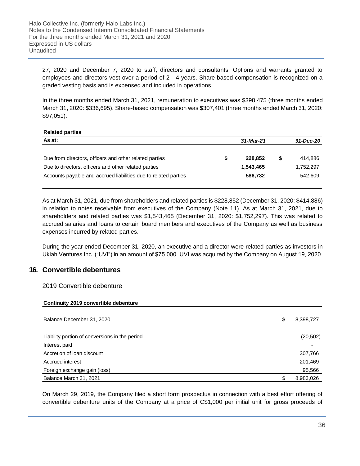27, 2020 and December 7, 2020 to staff, directors and consultants. Options and warrants granted to employees and directors vest over a period of 2 - 4 years. Share-based compensation is recognized on a graded vesting basis and is expensed and included in operations.

In the three months ended March 31, 2021, remuneration to executives was \$398,475 (three months ended March 31, 2020: \$336,695). Share-based compensation was \$307,401 (three months ended March 31, 2020: \$97,051).

#### **Related parties**

| As at:                                                          | 31-Mar-21 |           |  | 31-Dec-20 |  |
|-----------------------------------------------------------------|-----------|-----------|--|-----------|--|
|                                                                 |           |           |  |           |  |
| Due from directors, officers and other related parties          |           | 228,852   |  | 414,886   |  |
| Due to directors, officers and other related parties            |           | 1,543,465 |  | ,752,297  |  |
| Accounts payable and accrued liabilities due to related parties |           | 586.732   |  | 542.609   |  |
|                                                                 |           |           |  |           |  |

As at March 31, 2021, due from shareholders and related parties is \$228,852 (December 31, 2020: \$414,886) in relation to notes receivable from executives of the Company (Note 11). As at March 31, 2021, due to shareholders and related parties was \$1,543,465 (December 31, 2020: \$1,752,297). This was related to accrued salaries and loans to certain board members and executives of the Company as well as business expenses incurred by related parties.

During the year ended December 31, 2020, an executive and a director were related parties as investors in Ukiah Ventures Inc. ("UVI") in an amount of \$75,000. UVI was acquired by the Company on August 19, 2020.

## **16. Convertible debentures**

### 2019 Convertible debenture

| Continuity 2019 convertible debenture          |    |                          |
|------------------------------------------------|----|--------------------------|
| Balance December 31, 2020                      | \$ | 8,398,727                |
| Liability portion of conversions in the period |    | (20, 502)                |
| Interest paid                                  |    | $\overline{\phantom{0}}$ |
| Accretion of loan discount                     |    | 307,766                  |
| Accrued interest                               |    | 201,469                  |
| Foreign exchange gain (loss)                   |    | 95,566                   |
| Balance March 31, 2021                         | S  | 8,983,026                |

On March 29, 2019, the Company filed a short form prospectus in connection with a best effort offering of convertible debenture units of the Company at a price of C\$1,000 per initial unit for gross proceeds of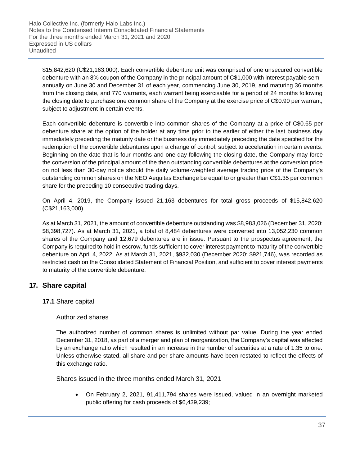\$15,842,620 (C\$21,163,000). Each convertible debenture unit was comprised of one unsecured convertible debenture with an 8% coupon of the Company in the principal amount of C\$1,000 with interest payable semiannually on June 30 and December 31 of each year, commencing June 30, 2019, and maturing 36 months from the closing date, and 770 warrants, each warrant being exercisable for a period of 24 months following the closing date to purchase one common share of the Company at the exercise price of C\$0.90 per warrant, subject to adjustment in certain events.

Each convertible debenture is convertible into common shares of the Company at a price of C\$0.65 per debenture share at the option of the holder at any time prior to the earlier of either the last business day immediately preceding the maturity date or the business day immediately preceding the date specified for the redemption of the convertible debentures upon a change of control, subject to acceleration in certain events. Beginning on the date that is four months and one day following the closing date, the Company may force the conversion of the principal amount of the then outstanding convertible debentures at the conversion price on not less than 30-day notice should the daily volume-weighted average trading price of the Company's outstanding common shares on the NEO Aequitas Exchange be equal to or greater than C\$1.35 per common share for the preceding 10 consecutive trading days.

On April 4, 2019, the Company issued 21,163 debentures for total gross proceeds of \$15,842,620 (C\$21,163,000).

As at March 31, 2021, the amount of convertible debenture outstanding was \$8,983,026 (December 31, 2020: \$8,398,727). As at March 31, 2021, a total of 8,484 debentures were converted into 13,052,230 common shares of the Company and 12,679 debentures are in issue. Pursuant to the prospectus agreement, the Company is required to hold in escrow, funds sufficient to cover interest payment to maturity of the convertible debenture on April 4, 2022. As at March 31, 2021, \$932,030 (December 2020: \$921,746), was recorded as restricted cash on the Consolidated Statement of Financial Position, and sufficient to cover interest payments to maturity of the convertible debenture.

## **17. Share capital**

## **17.1** Share capital

## Authorized shares

The authorized number of common shares is unlimited without par value. During the year ended December 31, 2018, as part of a merger and plan of reorganization, the Company's capital was affected by an exchange ratio which resulted in an increase in the number of securities at a rate of 1.35 to one. Unless otherwise stated, all share and per-share amounts have been restated to reflect the effects of this exchange ratio.

Shares issued in the three months ended March 31, 2021

• On February 2, 2021, 91,411,794 shares were issued, valued in an overnight marketed public offering for cash proceeds of \$6,439,239;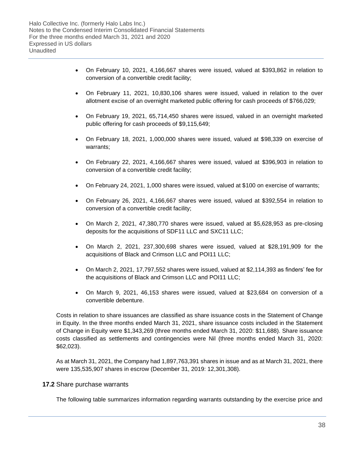- On February 10, 2021, 4,166,667 shares were issued, valued at \$393,862 in relation to conversion of a convertible credit facility;
- On February 11, 2021, 10,830,106 shares were issued, valued in relation to the over allotment excise of an overnight marketed public offering for cash proceeds of \$766,029;
- On February 19, 2021, 65,714,450 shares were issued, valued in an overnight marketed public offering for cash proceeds of \$9,115,649;
- On February 18, 2021, 1,000,000 shares were issued, valued at \$98,339 on exercise of warrants;
- On February 22, 2021, 4,166,667 shares were issued, valued at \$396,903 in relation to conversion of a convertible credit facility;
- On February 24, 2021, 1,000 shares were issued, valued at \$100 on exercise of warrants;
- On February 26, 2021, 4,166,667 shares were issued, valued at \$392,554 in relation to conversion of a convertible credit facility;
- On March 2, 2021, 47,380,770 shares were issued, valued at \$5,628,953 as pre-closing deposits for the acquisitions of SDF11 LLC and SXC11 LLC;
- On March 2, 2021, 237,300,698 shares were issued, valued at \$28,191,909 for the acquisitions of Black and Crimson LLC and POI11 LLC;
- On March 2, 2021, 17,797,552 shares were issued, valued at \$2,114,393 as finders' fee for the acquisitions of Black and Crimson LLC and POI11 LLC;
- On March 9, 2021, 46,153 shares were issued, valued at \$23,684 on conversion of a convertible debenture.

Costs in relation to share issuances are classified as share issuance costs in the Statement of Change in Equity. In the three months ended March 31, 2021, share issuance costs included in the Statement of Change in Equity were \$1,343,269 (three months ended March 31, 2020: \$11,688). Share issuance costs classified as settlements and contingencies were Nil (three months ended March 31, 2020: \$62,023).

As at March 31, 2021, the Company had 1,897,763,391 shares in issue and as at March 31, 2021, there were 135,535,907 shares in escrow (December 31, 2019: 12,301,308).

## **17.2** Share purchase warrants

The following table summarizes information regarding warrants outstanding by the exercise price and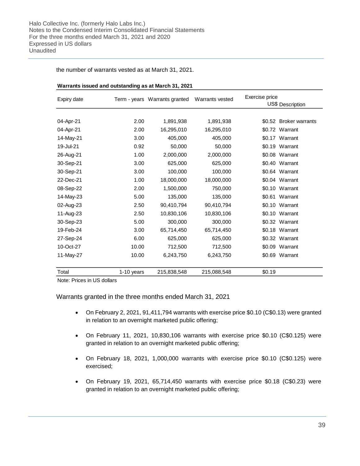the number of warrants vested as at March 31, 2021.

| Expiry date |            | Term - years Warrants granted | Warrants vested | Exercise price<br>US\$ Description |
|-------------|------------|-------------------------------|-----------------|------------------------------------|
|             |            |                               |                 |                                    |
| 04-Apr-21   | 2.00       | 1,891,938                     | 1,891,938       | \$0.52 Broker warrants             |
| 04-Apr-21   | 2.00       | 16,295,010                    | 16,295,010      | \$0.72 Warrant                     |
| 14-May-21   | 3.00       | 405,000                       | 405,000         | \$0.17 Warrant                     |
| 19-Jul-21   | 0.92       | 50,000                        | 50,000          | \$0.19 Warrant                     |
| 26-Aug-21   | 1.00       | 2,000,000                     | 2,000,000       | \$0.08 Warrant                     |
| 30-Sep-21   | 3.00       | 625,000                       | 625,000         | \$0.40 Warrant                     |
| 30-Sep-21   | 3.00       | 100,000                       | 100,000         | \$0.64 Warrant                     |
| 22-Dec-21   | 1.00       | 18,000,000                    | 18,000,000      | \$0.04 Warrant                     |
| 08-Sep-22   | 2.00       | 1,500,000                     | 750,000         | \$0.10 Warrant                     |
| 14-May-23   | 5.00       | 135,000                       | 135,000         | \$0.61 Warrant                     |
| 02-Aug-23   | 2.50       | 90,410,794                    | 90,410,794      | \$0.10 Warrant                     |
| 11-Aug-23   | 2.50       | 10,830,106                    | 10,830,106      | \$0.10 Warrant                     |
| 30-Sep-23   | 5.00       | 300,000                       | 300,000         | \$0.32 Warrant                     |
| 19-Feb-24   | 3.00       | 65,714,450                    | 65,714,450      | \$0.18 Warrant                     |
| 27-Sep-24   | 6.00       | 625,000                       | 625,000         | \$0.32 Warrant                     |
| 10-Oct-27   | 10.00      | 712,500                       | 712,500         | \$0.09 Warrant                     |
| 11-May-27   | 10.00      | 6,243,750                     | 6,243,750       | \$0.69 Warrant                     |
| Total       | 1-10 years | 215,838,548                   | 215,088,548     | \$0.19                             |

#### **Warrants issued and outstanding as at March 31, 2021**

Note: Prices in US dollars

Warrants granted in the three months ended March 31, 2021

- On February 2, 2021, 91,411,794 warrants with exercise price \$0.10 (C\$0.13) were granted in relation to an overnight marketed public offering;
- On February 11, 2021, 10,830,106 warrants with exercise price \$0.10 (C\$0.125) were granted in relation to an overnight marketed public offering;
- On February 18, 2021, 1,000,000 warrants with exercise price \$0.10 (C\$0.125) were exercised;
- On February 19, 2021, 65,714,450 warrants with exercise price \$0.18 (C\$0.23) were granted in relation to an overnight marketed public offering;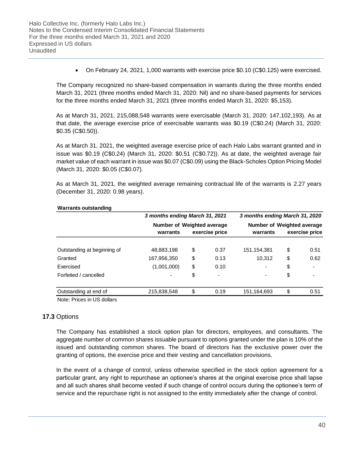• On February 24, 2021, 1,000 warrants with exercise price \$0.10 (C\$0.125) were exercised.

The Company recognized no share-based compensation in warrants during the three months ended March 31, 2021 (three months ended March 31, 2020: Nil) and no share-based payments for services for the three months ended March 31, 2021 (three months ended March 31, 2020: \$5,153).

As at March 31, 2021, 215,088,548 warrants were exercisable (March 31, 2020: 147,102,193). As at that date, the average exercise price of exercisable warrants was \$0.19 (C\$0.24) (March 31, 2020: \$0.35 (C\$0.50)).

As at March 31, 2021, the weighted average exercise price of each Halo Labs warrant granted and in issue was \$0.19 (C\$0.24) (March 31, 2020: \$0.51 (C\$0.72)). As at date, the weighted average fair market value of each warrant in issue was \$0.07 (C\$0.09) using the Black-Scholes Option Pricing Model (March 31, 2020: \$0.05 (C\$0.07).

As at March 31, 2021, the weighted average remaining contractual life of the warrants is 2.27 years (December 31, 2020: 0.98 years).

|                             |             | 3 months ending March 31, 2021 |                |                          |                                   | 3 months ending March 31, 2020 |  |  |  |  |
|-----------------------------|-------------|--------------------------------|----------------|--------------------------|-----------------------------------|--------------------------------|--|--|--|--|
|                             |             | Number of Weighted average     |                |                          | <b>Number of Weighted average</b> |                                |  |  |  |  |
|                             | warrants    |                                | exercise price | warrants                 |                                   | exercise price                 |  |  |  |  |
| Outstanding at beginning of | 48,883,198  | \$                             | 0.37           | 151, 154, 381            | \$                                | 0.51                           |  |  |  |  |
| Granted                     | 167,956,350 | \$                             | 0.13           | 10,312                   | \$                                | 0.62                           |  |  |  |  |
| Exercised                   | (1,001,000) | \$                             | 0.10           | $\blacksquare$           | \$                                | $\overline{\phantom{0}}$       |  |  |  |  |
| Forfeited / cancelled       | ۰           | \$                             |                | $\overline{\phantom{a}}$ | \$                                | $\overline{\phantom{a}}$       |  |  |  |  |
| Outstanding at end of       | 215,838,548 | \$                             | 0.19           | 151,164,693              | \$                                | 0.51                           |  |  |  |  |

#### **Warrants outstanding**

Note: Prices in US dollars

### **17.3** Options

The Company has established a stock option plan for directors, employees, and consultants. The aggregate number of common shares issuable pursuant to options granted under the plan is 10% of the issued and outstanding common shares. The board of directors has the exclusive power over the granting of options, the exercise price and their vesting and cancellation provisions.

In the event of a change of control, unless otherwise specified in the stock option agreement for a particular grant, any right to repurchase an optionee's shares at the original exercise price shall lapse and all such shares shall become vested if such change of control occurs during the optionee's term of service and the repurchase right is not assigned to the entity immediately after the change of control.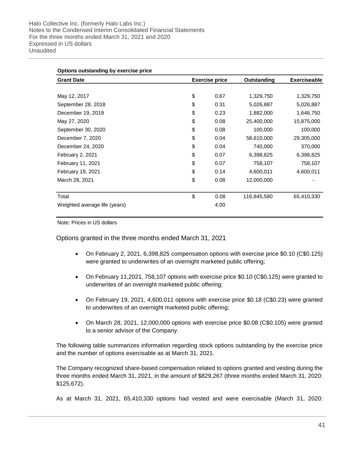| <b>Grant Date</b>             | <b>Exercise price</b> | Outstanding | <b>Exerciseable</b> |
|-------------------------------|-----------------------|-------------|---------------------|
|                               |                       |             |                     |
| May 12, 2017                  | \$<br>0.67            | 1,329,750   | 1,329,750           |
| September 28, 2018            | \$<br>0.31            | 5,026,887   | 5,026,887           |
| December 19, 2019             | \$<br>0.23            | 1,882,000   | 1,646,750           |
| May 27, 2020                  | \$<br>0.08            | 25,400,000  | 15,875,000          |
| September 30, 2020            | \$<br>0.08            | 100,000     | 100,000             |
| December 7, 2020              | \$<br>0.04            | 58,610,000  | 29,305,000          |
| December 24, 2020             | \$<br>0.04            | 740,000     | 370,000             |
| February 2, 2021              | \$<br>0.07            | 6,398,825   | 6,398,825           |
| February 11, 2021             | \$<br>0.07            | 758,107     | 758,107             |
| February 19, 2021             | \$<br>0.14            | 4,600,011   | 4,600,011           |
| March 28, 2021                | \$<br>0.08            | 12,000,000  |                     |
| Total                         | \$<br>0.08            | 116,845,580 | 65,410,330          |
| Weighted average life (years) | 4.00                  |             |                     |

Note: Prices in US dollars

Options granted in the three months ended March 31, 2021

- On February 2, 2021, 6,398,825 compensation options with exercise price \$0.10 (C\$0.125) were granted to underwrites of an overnight marketed public offering;
- On February 11,2021, 758,107 options with exercise price \$0.10 (C\$0.125) were granted to underwrites of an overnight marketed public offering;
- On February 19, 2021, 4,600,011 options with exercise price \$0.18 (C\$0.23) were granted to underwrites of an overnight marketed public offering;
- On March 28, 2021, 12,000,000 options with exercise price \$0.08 (C\$0.105) were granted to a senior advisor of the Company.

The following table summarizes information regarding stock options outstanding by the exercise price and the number of options exercisable as at March 31, 2021.

The Company recognized share-based compensation related to options granted and vesting during the three months ended March 31, 2021, in the amount of \$829,267 (three months ended March 31, 2020: \$125,672).

As at March 31, 2021, 65,410,330 options had vested and were exercisable (March 31, 2020: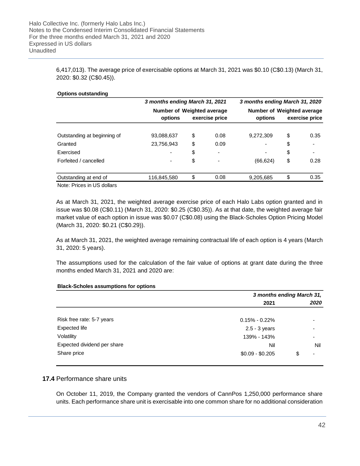6,417,013). The average price of exercisable options at March 31, 2021 was \$0.10 (C\$0.13) (March 31, 2020: \$0.32 (C\$0.45)).

| <b>Options outstanding</b>  | 3 months ending March 31, 2021        |                | 3 months ending March 31, 2020        |                      |
|-----------------------------|---------------------------------------|----------------|---------------------------------------|----------------------|
|                             | Number of Weighted average<br>options | exercise price | Number of Weighted average<br>options | exercise price       |
| Outstanding at beginning of | 93,088,637                            | \$<br>0.08     | 9,272,309                             | \$<br>0.35           |
| Granted                     | 23,756,943                            | \$<br>0.09     | $\overline{\phantom{a}}$              | \$<br>$\blacksquare$ |
| Exercised                   | -                                     | \$             | $\overline{\phantom{a}}$              | \$<br>$\blacksquare$ |
| Forfeited / cancelled       | ۰.                                    | \$             | (66, 624)                             | \$<br>0.28           |
| Outstanding at end of       | 116,845,580                           | \$<br>0.08     | 9,205,685                             | \$<br>0.35           |
|                             |                                       |                |                                       |                      |

Note: Prices in US dollars

As at March 31, 2021, the weighted average exercise price of each Halo Labs option granted and in issue was \$0.08 (C\$0.11) (March 31, 2020: \$0.25 (C\$0.35)). As at that date, the weighted average fair market value of each option in issue was \$0.07 (C\$0.08) using the Black-Scholes Option Pricing Model (March 31, 2020: \$0.21 (C\$0.29)).

As at March 31, 2021, the weighted average remaining contractual life of each option is 4 years (March 31, 2020: 5 years).

The assumptions used for the calculation of the fair value of options at grant date during the three months ended March 31, 2021 and 2020 are:

| 2021                                           | 2020                     |
|------------------------------------------------|--------------------------|
|                                                |                          |
| Risk free rate: 5-7 years<br>$0.15\% - 0.22\%$ | ۰                        |
| Expected life<br>$2.5 - 3$ years               | $\overline{\phantom{a}}$ |
| Volatility<br>139% - 143%                      | $\overline{\phantom{a}}$ |
| Expected dividend per share<br>Nil             | Nil                      |
| Share price<br>$$0.09 - $0.205$                | $\overline{\phantom{a}}$ |

#### **Black-Scholes assumptions for options**

### **17.4** Performance share units

On October 11, 2019, the Company granted the vendors of CannPos 1,250,000 performance share units. Each performance share unit is exercisable into one common share for no additional consideration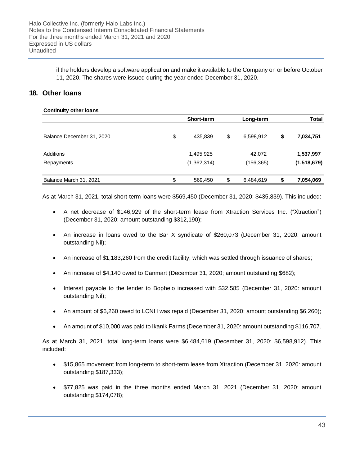if the holders develop a software application and make it available to the Company on or before October 11, 2020. The shares were issued during the year ended December 31, 2020.

## **18. Other loans**

| <b>Continuity other loans</b> |                   |                 |                 |
|-------------------------------|-------------------|-----------------|-----------------|
|                               | <b>Short-term</b> | Long-term       | <b>Total</b>    |
| Balance December 31, 2020     | \$<br>435,839     | \$<br>6,598,912 | \$<br>7,034,751 |
| <b>Additions</b>              | 1,495,925         | 42,072          | 1,537,997       |
| Repayments                    | (1,362,314)       | (156, 365)      | (1,518,679)     |
| Balance March 31, 2021        | \$<br>569,450     | \$<br>6,484,619 | \$<br>7,054,069 |

As at March 31, 2021, total short-term loans were \$569,450 (December 31, 2020: \$435,839). This included:

- A net decrease of \$146,929 of the short-term lease from Xtraction Services Inc. ("Xtraction") (December 31, 2020: amount outstanding \$312,190);
- An increase in loans owed to the Bar X syndicate of \$260,073 (December 31, 2020: amount outstanding Nil);
- An increase of \$1,183,260 from the credit facility, which was settled through issuance of shares;
- An increase of \$4,140 owed to Canmart (December 31, 2020; amount outstanding \$682);
- Interest payable to the lender to Bophelo increased with \$32,585 (December 31, 2020: amount outstanding Nil);
- An amount of \$6,260 owed to LCNH was repaid (December 31, 2020: amount outstanding \$6,260);
- An amount of \$10,000 was paid to Ikanik Farms (December 31, 2020: amount outstanding \$116,707.

As at March 31, 2021, total long-term loans were \$6,484,619 (December 31, 2020: \$6,598,912). This included:

- \$15,865 movement from long-term to short-term lease from Xtraction (December 31, 2020: amount outstanding \$187,333);
- \$77,825 was paid in the three months ended March 31, 2021 (December 31, 2020: amount outstanding \$174,078);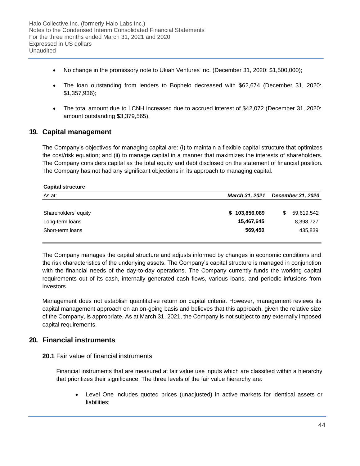- No change in the promissory note to Ukiah Ventures Inc. (December 31, 2020: \$1,500,000);
- The loan outstanding from lenders to Bophelo decreased with \$62,674 (December 31, 2020: \$1,357,936);
- The total amount due to LCNH increased due to accrued interest of \$42,072 (December 31, 2020: amount outstanding \$3,379,565).

## **19. Capital management**

The Company's objectives for managing capital are: (i) to maintain a flexible capital structure that optimizes the cost/risk equation; and (ii) to manage capital in a manner that maximizes the interests of shareholders. The Company considers capital as the total equity and debt disclosed on the statement of financial position. The Company has not had any significant objections in its approach to managing capital.

| <b>Capital structure</b> |                       |                   |  |  |
|--------------------------|-----------------------|-------------------|--|--|
| As at:                   | <b>March 31, 2021</b> | December 31, 2020 |  |  |
|                          |                       |                   |  |  |
| Shareholders' equity     | \$103,856,089         | 59,619,542<br>\$. |  |  |
| Long-term loans          | 15,467,645            | 8,398,727         |  |  |
| Short-term loans         | 569,450               | 435,839           |  |  |

The Company manages the capital structure and adjusts informed by changes in economic conditions and the risk characteristics of the underlying assets. The Company's capital structure is managed in conjunction with the financial needs of the day-to-day operations. The Company currently funds the working capital requirements out of its cash, internally generated cash flows, various loans, and periodic infusions from investors.

Management does not establish quantitative return on capital criteria. However, management reviews its capital management approach on an on-going basis and believes that this approach, given the relative size of the Company, is appropriate. As at March 31, 2021, the Company is not subject to any externally imposed capital requirements.

## **20. Financial instruments**

## **20.1** Fair value of financial instruments

Financial instruments that are measured at fair value use inputs which are classified within a hierarchy that prioritizes their significance. The three levels of the fair value hierarchy are:

• Level One includes quoted prices (unadjusted) in active markets for identical assets or liabilities;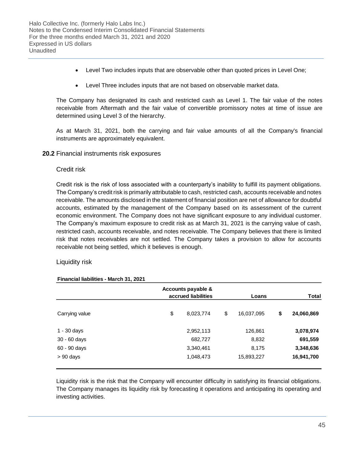- Level Two includes inputs that are observable other than quoted prices in Level One;
- Level Three includes inputs that are not based on observable market data.

The Company has designated its cash and restricted cash as Level 1. The fair value of the notes receivable from Aftermath and the fair value of convertible promissory notes at time of issue are determined using Level 3 of the hierarchy.

As at March 31, 2021, both the carrying and fair value amounts of all the Company's financial instruments are approximately equivalent.

#### **20.2** Financial instruments risk exposures

#### Credit risk

Credit risk is the risk of loss associated with a counterparty's inability to fulfill its payment obligations. The Company's credit risk is primarily attributable to cash, restricted cash, accounts receivable and notes receivable. The amounts disclosed in the statement of financial position are net of allowance for doubtful accounts, estimated by the management of the Company based on its assessment of the current economic environment. The Company does not have significant exposure to any individual customer. The Company's maximum exposure to credit risk as at March 31, 2021 is the carrying value of cash, restricted cash, accounts receivable, and notes receivable. The Company believes that there is limited risk that notes receivables are not settled. The Company takes a provision to allow for accounts receivable not being settled, which it believes is enough.

### Liquidity risk

|                | Accounts payable &<br>accrued liabilities |           | Total |            |                  |
|----------------|-------------------------------------------|-----------|-------|------------|------------------|
| Carrying value | \$                                        | 8,023,774 | \$    | 16,037,095 | \$<br>24,060,869 |
| $1 - 30$ days  |                                           | 2,952,113 |       | 126,861    | 3,078,974        |
| $30 - 60$ days |                                           | 682,727   |       | 8,832      | 691,559          |
| 60 - 90 days   |                                           | 3,340,461 |       | 8,175      | 3,348,636        |
| $> 90$ days    |                                           | 1,048,473 |       | 15,893,227 | 16,941,700       |

#### **Financial liabilities - March 31, 2021**

Liquidity risk is the risk that the Company will encounter difficulty in satisfying its financial obligations. The Company manages its liquidity risk by forecasting it operations and anticipating its operating and investing activities.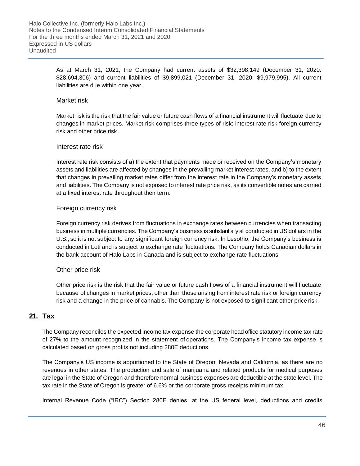As at March 31, 2021, the Company had current assets of \$32,398,149 (December 31, 2020: \$28,694,306) and current liabilities of \$9,899,021 (December 31, 2020: \$9,979,995). All current liabilities are due within one year.

## Market risk

Market risk is the risk that the fair value or future cash flows of a financial instrument will fluctuate due to changes in market prices. Market risk comprises three types of risk: interest rate risk foreign currency risk and other price risk.

### Interest rate risk

Interest rate risk consists of a) the extent that payments made or received on the Company's monetary assets and liabilities are affected by changes in the prevailing market interest rates, and b) to the extent that changes in prevailing market rates differ from the interest rate in the Company's monetary assets and liabilities. The Company is not exposed to interest rate price risk, as its convertible notes are carried at a fixed interest rate throughout their term.

### Foreign currency risk

Foreign currency risk derives from fluctuations in exchange rates between currencies when transacting business in multiple currencies. The Company's business is substantially all conducted in US dollars in the U.S., so it is not subject to any significant foreign currency risk. In Lesotho, the Company's business is conducted in Loti and is subject to exchange rate fluctuations. The Company holds Canadian dollars in the bank account of Halo Labs in Canada and is subject to exchange rate fluctuations.

### Other price risk

Other price risk is the risk that the fair value or future cash flows of a financial instrument will fluctuate because of changes in market prices, other than those arising from interest rate risk or foreign currency risk and a change in the price of cannabis. The Company is not exposed to significant other price risk.

## **21. Tax**

The Company reconciles the expected income tax expense the corporate head office statutory income tax rate of 27% to the amount recognized in the statement of operations. The Company's income tax expense is calculated based on gross profits not including 280E deductions.

The Company's US income is apportioned to the State of Oregon, Nevada and California, as there are no revenues in other states. The production and sale of marijuana and related products for medical purposes are legal in the State of Oregon and therefore normal business expenses are deductible at the state level. The tax rate in the State of Oregon is greater of 6.6% or the corporate gross receipts minimum tax.

Internal Revenue Code ("IRC") Section 280E denies, at the US federal level, deductions and credits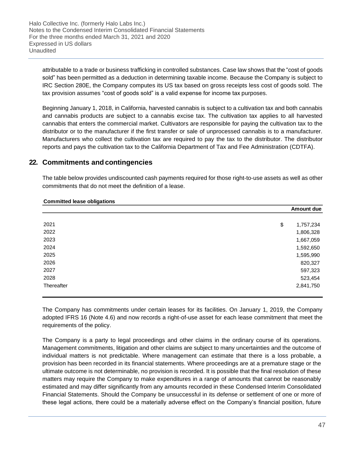attributable to a trade or business trafficking in controlled substances. Case law shows that the "cost of goods sold" has been permitted as a deduction in determining taxable income. Because the Company is subject to IRC Section 280E, the Company computes its US tax based on gross receipts less cost of goods sold. The tax provision assumes "cost of goods sold" is a valid expense for income tax purposes.

Beginning January 1, 2018, in California, harvested cannabis is subject to a cultivation tax and both cannabis and cannabis products are subject to a cannabis excise tax. The cultivation tax applies to all harvested cannabis that enters the commercial market. Cultivators are responsible for paying the cultivation tax to the distributor or to the manufacturer if the first transfer or sale of unprocessed cannabis is to a manufacturer. Manufacturers who collect the cultivation tax are required to pay the tax to the distributor. The distributor reports and pays the cultivation tax to the California Department of Tax and Fee Administration (CDTFA).

## **22. Commitments and contingencies**

The table below provides undiscounted cash payments required for those right-to-use assets as well as other commitments that do not meet the definition of a lease.

| <b>Committed lease obligations</b> |                 |
|------------------------------------|-----------------|
|                                    | Amount due      |
|                                    |                 |
| 2021                               | \$<br>1,757,234 |
| 2022                               | 1,806,328       |
| 2023                               | 1,667,059       |
| 2024                               | 1,592,650       |
| 2025                               | 1,595,990       |
| 2026                               | 820,327         |
| 2027                               | 597,323         |
| 2028                               | 523,454         |
| Thereafter                         | 2,841,750       |

The Company has commitments under certain leases for its facilities. On January 1, 2019, the Company adopted IFRS 16 (Note 4.6) and now records a right-of-use asset for each lease commitment that meet the requirements of the policy.

The Company is a party to legal proceedings and other claims in the ordinary course of its operations. Management commitments, litigation and other claims are subject to many uncertainties and the outcome of individual matters is not predictable. Where management can estimate that there is a loss probable, a provision has been recorded in its financial statements. Where proceedings are at a premature stage or the ultimate outcome is not determinable, no provision is recorded. It is possible that the final resolution of these matters may require the Company to make expenditures in a range of amounts that cannot be reasonably estimated and may differ significantly from any amounts recorded in these Condensed Interim Consolidated Financial Statements. Should the Company be unsuccessful in its defense or settlement of one or more of these legal actions, there could be a materially adverse effect on the Company's financial position, future